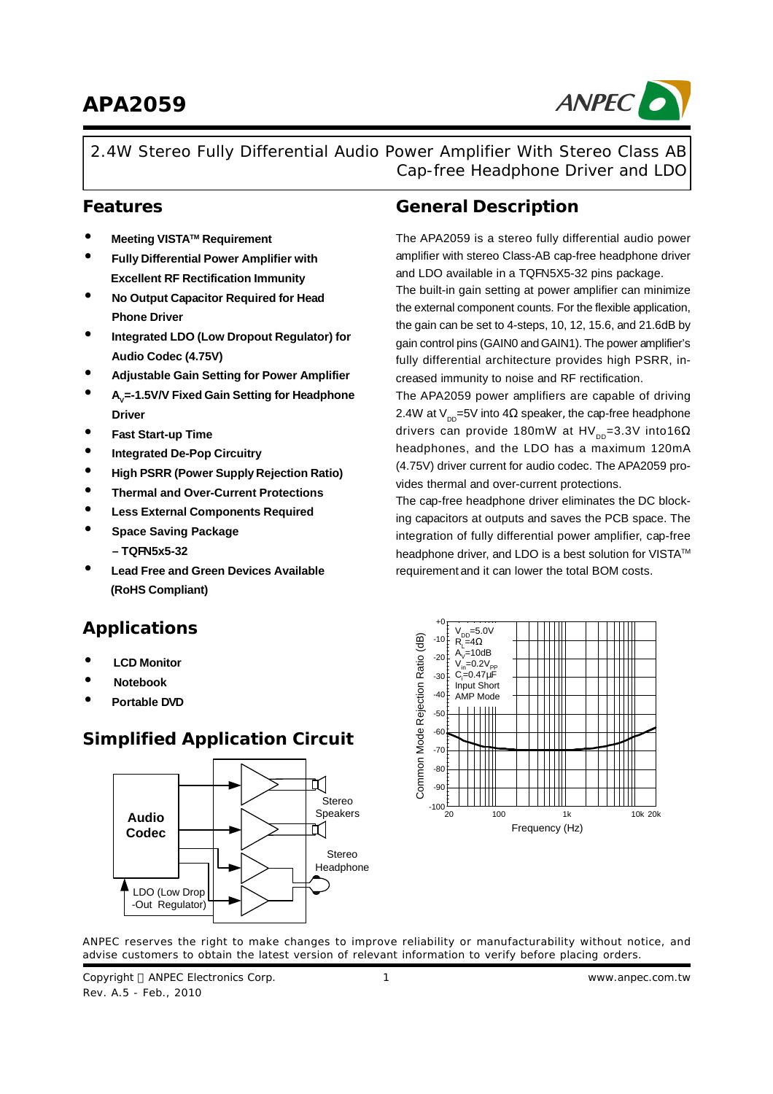# **APA2059**



2.4W Stereo Fully Differential Audio Power Amplifier With Stereo Class AB Cap-free Headphone Driver and LDO

- **Meeting VISTATM Requirement**
- **Fully Differential Power Amplifier with Excellent RF Rectification Immunity**
- **No Output Capacitor Required for Head Phone Driver**
- **Integrated LDO (Low Dropout Regulator) for Audio Codec (4.75V)**
- **Adjustable Gain Setting for Power Amplifier**
- **<sup>A</sup><sup>V</sup> =-1.5V/V Fixed Gain Setting for Headphone Driver**
- **Fast Start-up Time**
- **Integrated De-Pop Circuitry**
- **High PSRR (Power Supply Rejection Ratio)**
- **Thermal and Over-Current Protections**
- **Less External Components Required**
- **Space Saving Package – TQFN5x5-32**
- **Lead Free and Green Devices Available (RoHS Compliant)**

#### **Applications**

- **LCD Monitor**
- **Notebook**
- **Portable DVD**

#### **Simplified Application Circuit**



#### **Features General Description**

The APA2059 is a stereo fully differential audio power amplifier with stereo Class-AB cap-free headphone driver and LDO available in a TQFN5X5-32 pins package.

The built-in gain setting at power amplifier can minimize the external component counts. For the flexible application, the gain can be set to 4-steps, 10, 12, 15.6, and 21.6dB by gain control pins (GAIN0 andGAIN1). The power amplifier's fully differential architecture provides high PSRR, increased immunity to noise and RF rectification.

The APA2059 power amplifiers are capable of driving 2.4W at V $_{\text{DD}}$ =5V into 4Ω speaker, the cap-free headphone drivers can provide 180mW at HV $_{\texttt{\tiny DD}}$ =3.3V into16 $\Omega$ headphones, and the LDO has a maximum 120mA (4.75V) driver current for audio codec. The APA2059 provides thermal and over-current protections.

The cap-free headphone driver eliminates the DC blocking capacitors at outputs and saves the PCB space. The integration of fully differential power amplifier, cap-free headphone driver, and LDO is a best solution for VISTA™ requirement and it can lower the total BOM costs.



ANPEC reserves the right to make changes to improve reliability or manufacturability without notice, and advise customers to obtain the latest version of relevant information to verify before placing orders.

Copyright © ANPEC Electronics Corp. Rev. A.5 - Feb., 2010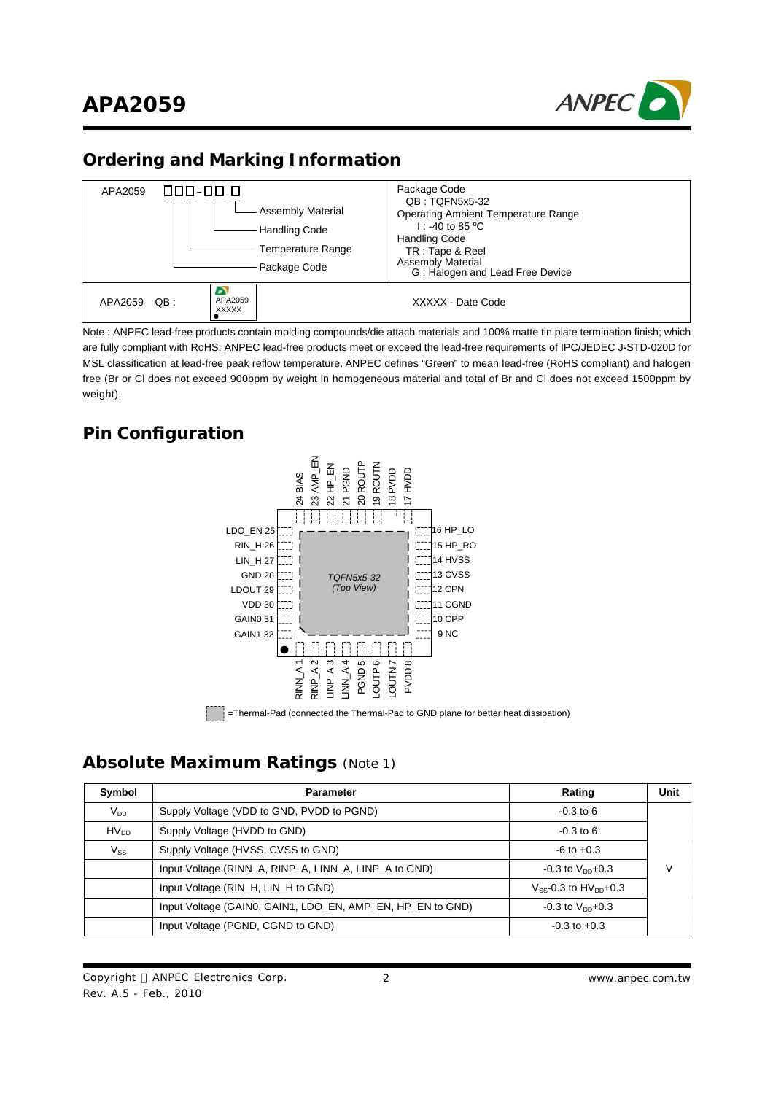

### **Ordering and Marking Information**



Note : ANPEC lead-free products contain molding compounds/die attach materials and 100% matte tin plate termination finish; which are fully compliant with RoHS. ANPEC lead-free products meet or exceed the lead-free requirements of IPC/JEDEC J**-**STD-020D for MSL classification at lead-free peak reflow temperature. ANPEC defines "Green" to mean lead-free (RoHS compliant) and halogen free (Br or Cl does not exceed 900ppm by weight in homogeneous material and total of Br and Cl does not exceed 1500ppm by weight).

### **Pin Configuration**



#### **Absolute Maximum Ratings** (Note 1)

| Symbol                     | <b>Parameter</b>                                           | Rating                          | Unit |
|----------------------------|------------------------------------------------------------|---------------------------------|------|
| $V_{DD}$                   | Supply Voltage (VDD to GND, PVDD to PGND)                  | $-0.3$ to 6                     |      |
| $HV_{DD}$                  | Supply Voltage (HVDD to GND)                               | $-0.3$ to 6                     |      |
| $\mathsf{V}_{\mathsf{SS}}$ | Supply Voltage (HVSS, CVSS to GND)                         | $-6$ to $+0.3$                  |      |
|                            | Input Voltage (RINN_A, RINP_A, LINN_A, LINP_A to GND)      | $-0.3$ to $V_{DD}+0.3$          | V    |
|                            | Input Voltage (RIN_H, LIN_H to GND)                        | $V_{SS}$ -0.3 to $HV_{DD}$ +0.3 |      |
|                            | Input Voltage (GAIN0, GAIN1, LDO_EN, AMP_EN, HP_EN to GND) | $-0.3$ to $V_{DD}+0.3$          |      |
|                            | Input Voltage (PGND, CGND to GND)                          | $-0.3$ to $+0.3$                |      |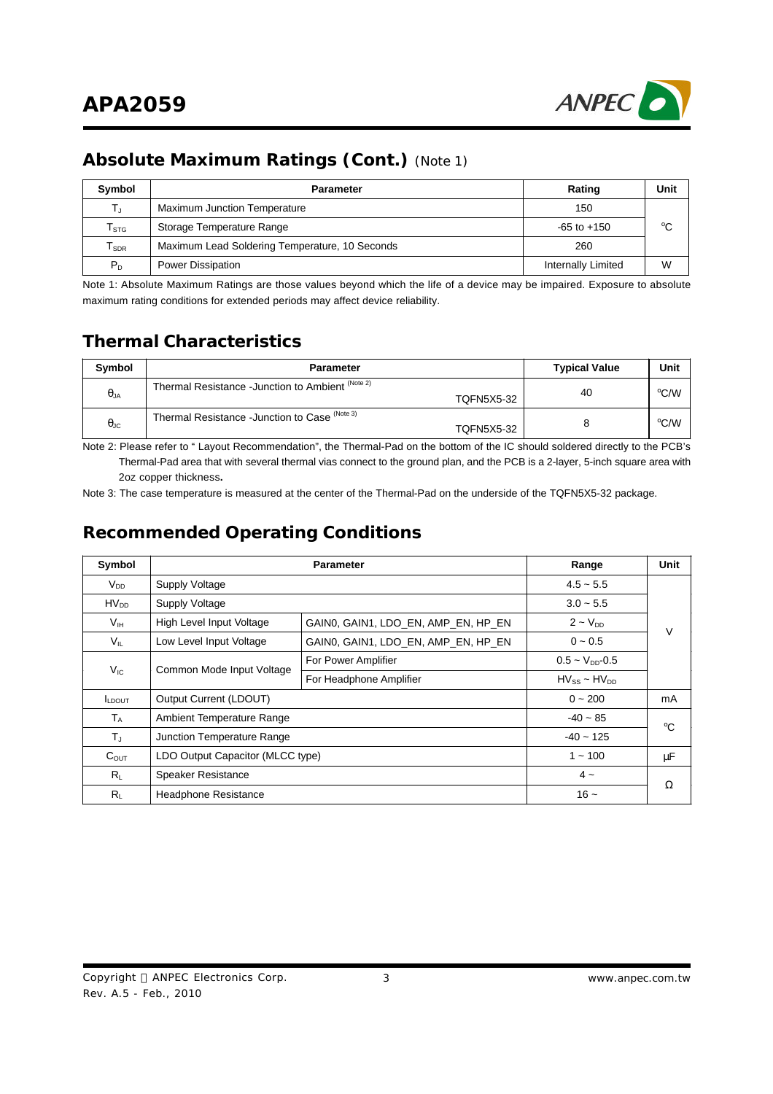

### **Absolute Maximum Ratings (Cont.)** (Note 1)

| Symbol                       | <b>Parameter</b>                               | Rating             | Unit        |
|------------------------------|------------------------------------------------|--------------------|-------------|
| TJ                           | Maximum Junction Temperature                   | 150                |             |
| ${\sf T}_{\text{STG}}$       | Storage Temperature Range                      | $-65$ to $+150$    | $^{\circ}C$ |
| ${\mathsf T}_{\textsf{SDR}}$ | Maximum Lead Soldering Temperature, 10 Seconds | 260                |             |
| $P_D$                        | Power Dissipation                              | Internally Limited | W           |

Note 1: Absolute Maximum Ratings are those values beyond which the life of a device may be impaired. Exposure to absolute maximum rating conditions for extended periods may affect device reliability.

#### **Thermal Characteristics**

| <b>Symbol</b>        | <b>Parameter</b>                                                    | <b>Typical Value</b> | Unit |
|----------------------|---------------------------------------------------------------------|----------------------|------|
| $\theta_{JA}$        | Thermal Resistance -Junction to Ambient (Note 2)<br>TOFN5X5-32      | 40                   | °C/W |
| $\theta_{\text{JC}}$ | Thermal Resistance - Junction to Case (Note 3)<br><b>TOFN5X5-32</b> |                      | °C/W |

Note 2: Please refer to " Layout Recommendation", the Thermal-Pad on the bottom of the IC should soldered directly to the PCB's Thermal-Pad area that with several thermal vias connect to the ground plan, and the PCB is a 2-layer, 5-inch square area with 2oz copper thickness**.**

Note 3: The case temperature is measured at the center of the Thermal-Pad on the underside of the TQFN5X5-32 package.

#### **Recommended Operating Conditions**

| Symbol          |                                                                 | <b>Parameter</b>                    |                          |             |
|-----------------|-----------------------------------------------------------------|-------------------------------------|--------------------------|-------------|
| $V_{DD}$        | Supply Voltage                                                  |                                     | $4.5 - 5.5$              |             |
| $HV_{DD}$       | <b>Supply Voltage</b>                                           |                                     | $3.0 - 5.5$              |             |
| $V_{\text{IH}}$ | High Level Input Voltage<br>GAINO, GAIN1, LDO EN, AMP EN, HP EN |                                     | $2 - VDD$                | V           |
| $V_{IL}$        | Low Level Input Voltage                                         | GAIN0, GAIN1, LDO EN, AMP EN, HP EN | $0 - 0.5$                |             |
|                 |                                                                 | For Power Amplifier                 | $0.5 - V_{DD} - 0.5$     |             |
| $V_{IC}$        | Common Mode Input Voltage                                       | For Headphone Amplifier             | $H V_{SS} \sim H V_{DD}$ |             |
| LDOUT           | Output Current (LDOUT)                                          |                                     | $0 - 200$                | mA          |
| $T_A$           | Ambient Temperature Range                                       |                                     | $-40 - 85$               | $^{\circ}C$ |
| $T_{\rm J}$     | Junction Temperature Range                                      | $-40 - 125$                         |                          |             |
| $C_{OUT}$       | LDO Output Capacitor (MLCC type)                                |                                     | $1 - 100$                | μF          |
| $R_{L}$         | <b>Speaker Resistance</b>                                       |                                     |                          |             |
| $R_{L}$         | Headphone Resistance                                            |                                     | $16 -$                   | Ω           |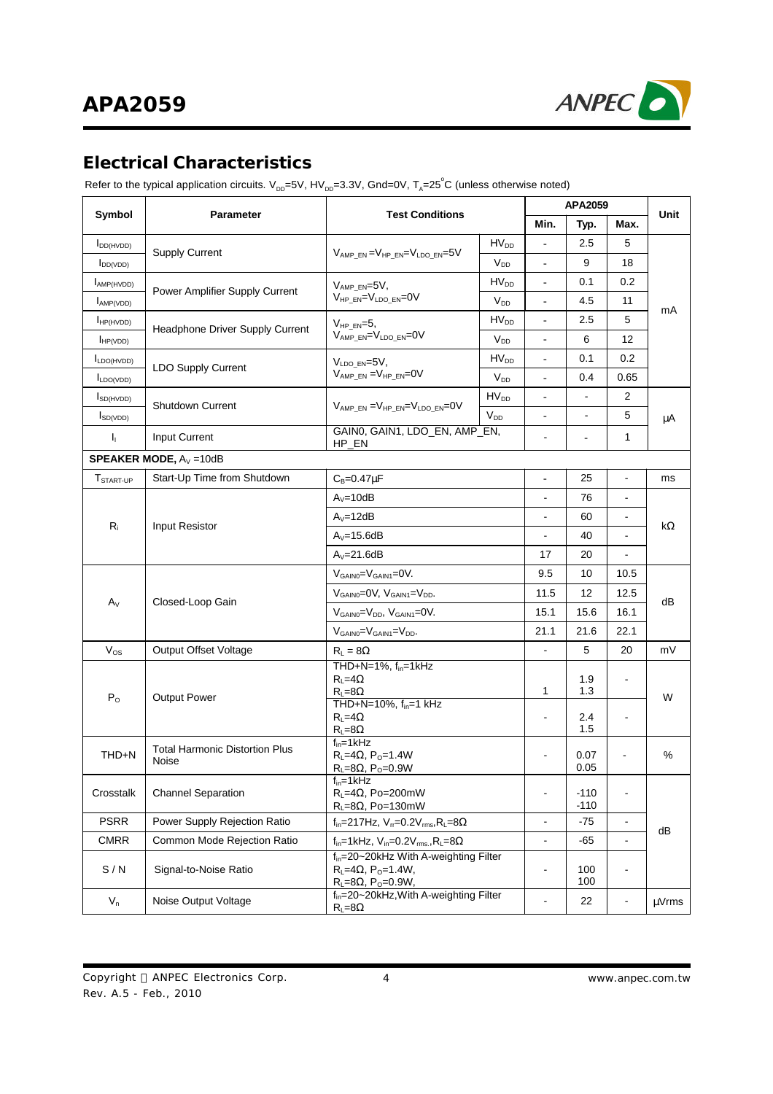

### **Electrical Characteristics**

Refer to the typical application circuits. V<sub>DD</sub>=5V, HV<sub>DD</sub>=3.3V, Gnd=0V, T<sub>A</sub>=25°C (unless otherwise noted)

|                       | <b>Test Conditions</b><br>Parameter            |                                                                                                                                      |                  |                          | <b>APA2059</b>   |                              |       |
|-----------------------|------------------------------------------------|--------------------------------------------------------------------------------------------------------------------------------------|------------------|--------------------------|------------------|------------------------------|-------|
| Symbol                |                                                |                                                                                                                                      |                  | Min.                     | Typ.             | Max.                         | Unit  |
| I <sub>DD(HVDD)</sub> |                                                |                                                                                                                                      | HV <sub>DD</sub> |                          | 2.5              | 5                            |       |
| $I_{DD(VDD)}$         | <b>Supply Current</b>                          | $V_{AMP_EN} = V_{HP_EN} = V_{LDO_EN} = 5V$<br><b>V<sub>DD</sub></b>                                                                  |                  | $\frac{1}{2}$            | 9                | 18                           |       |
| AMP(HVDD)             | Power Amplifier Supply Current                 | $V_{AMP EN}=5V,$                                                                                                                     | HV <sub>DD</sub> |                          | 0.1              | 0.2                          |       |
| AMP(VDD)              |                                                | $V_{HPEN} = V_{LDO EN} = 0V$                                                                                                         | $V_{DD}$         | $\overline{\phantom{a}}$ | 4.5              | 11                           | mA    |
| HP(HVDD)              |                                                | $V_{HPEN} = 5$ ,                                                                                                                     | $HV_{DD}$        | $\overline{\phantom{a}}$ | 2.5              | 5                            |       |
| $I_{HP(VDD)}$         | Headphone Driver Supply Current                | VAMP EN=VLDO EN=0V                                                                                                                   | $V_{DD}$         | $\frac{1}{2}$            | 6                | 12                           |       |
| LDO(HVDD)             | <b>LDO Supply Current</b>                      | $V_{LDO EN}=5V$ ,                                                                                                                    | $HV_{DD}$        |                          | 0.1              | 0.2                          |       |
| $I_{LDO(VDD)}$        |                                                | $V_{AMP_EN} = V_{HP_EN} = 0V$                                                                                                        | V <sub>DD</sub>  | $\overline{a}$           | 0.4              | 0.65                         |       |
| $I_{SD(HVDD)}$        | <b>Shutdown Current</b>                        | $V_{AMP EN} = V_{HP EN} = V_{LDO EN} = 0V$                                                                                           | $HV_{DD}$        | $\overline{\phantom{0}}$ |                  | 2                            |       |
| $I_{SD(VDD)}$         |                                                |                                                                                                                                      | $V_{DD}$         | $\overline{\phantom{a}}$ | $\blacksquare$   | 5                            | μA    |
| h.                    | Input Current                                  | GAIN0, GAIN1, LDO_EN, AMP_EN,<br>HP_EN                                                                                               |                  | $\blacksquare$           | $\blacksquare$   | $\mathbf{1}$                 |       |
|                       | <b>SPEAKER MODE, <math>A_V = 10dB</math></b>   |                                                                                                                                      |                  |                          |                  |                              |       |
| T <sub>START-UP</sub> | Start-Up Time from Shutdown                    | $C_B = 0.47 \mu F$                                                                                                                   |                  | $\overline{\phantom{a}}$ | 25               | $\qquad \qquad \blacksquare$ | ms    |
|                       |                                                | $A_v = 10dB$                                                                                                                         |                  | $\blacksquare$           | 76               | $\blacksquare$               |       |
|                       | Input Resistor                                 | $A_V = 12dB$                                                                                                                         |                  | 60                       | $\sim$           | kΩ                           |       |
| $R_i$                 |                                                | $A_v = 15.6dB$                                                                                                                       | $\blacksquare$   | 40                       | $\blacksquare$   |                              |       |
|                       |                                                | $A_v=21.6dB$                                                                                                                         |                  | 17                       | 20               |                              |       |
|                       |                                                | $V_{GAINO} = V_{GAIN1} = 0V$ .                                                                                                       |                  | 9.5                      | 10               | 10.5                         |       |
|                       |                                                | $V_{GAINO}=$ OV, $V_{GAINI}=V_{DD}$ .                                                                                                | 11.5             | 12                       | 12.5             | dВ                           |       |
| $A_V$                 | Closed-Loop Gain                               | $V_{GAIN0} = V_{DD}$ , $V_{GAIN1} = 0V$ .                                                                                            | 15.1             | 15.6                     | 16.1             |                              |       |
|                       |                                                | $V_{GAINO} = V_{GAINI} = V_{DD}$ .                                                                                                   | 21.1             | 21.6                     | 22.1             |                              |       |
| $V_{OS}$              | <b>Output Offset Voltage</b>                   | $R_L = 8\Omega$                                                                                                                      |                  |                          |                  | 20                           | mV    |
| $P_{O}$               | <b>Output Power</b>                            | THD+N=1%, f <sub>in</sub> =1kHz<br>$R_{L} = 4\Omega$<br>$R_{\perp} = 8\Omega$                                                        |                  | 1                        | 1.9<br>1.3       | $\blacksquare$               | W     |
|                       |                                                | THD+N=10%, f <sub>in</sub> =1 kHz<br>$R_1 = 4\Omega$<br>$R_L = 8\Omega$                                                              |                  |                          | 2.4<br>1.5       | $\blacksquare$               |       |
| THD+N                 | <b>Total Harmonic Distortion Plus</b><br>Noise | $f_{in} = 1$ kHz<br>$R_L = 4\Omega$ , P <sub>o</sub> =1.4W<br>$R_L = 8\Omega$ , P <sub>0</sub> =0.9W                                 |                  |                          | 0.07<br>0.05     | Ĭ.                           | %     |
| Crosstalk             | <b>Channel Separation</b>                      | $f_{in}$ =1kHz<br>$R_1 = 4\Omega$ , Po=200mW<br>$R_1 = 8\Omega$ , Po=130mW                                                           |                  | $\blacksquare$           | $-110$<br>$-110$ | $\blacksquare$               |       |
| <b>PSRR</b>           | Power Supply Rejection Ratio                   | $f_{in}$ =217Hz, $V_{rr}$ =0.2 $V_{rms}$ , $R_L$ =8 $\Omega$                                                                         |                  | $\blacksquare$           | $-75$            | $\blacksquare$               |       |
| <b>CMRR</b>           | Common Mode Rejection Ratio                    | $f_{in}$ =1kHz, $V_{in}$ =0.2 $V_{rms}$ , R <sub>L</sub> =8 $\Omega$                                                                 |                  | $\blacksquare$           | $-65$            | $\blacksquare$               | dB    |
| S/N                   | Signal-to-Noise Ratio                          | f <sub>in</sub> =20~20kHz With A-weighting Filter<br>$RL=4\Omega$ , P <sub>0</sub> =1.4W,<br>$R_L = 8\Omega$ , P <sub>o</sub> =0.9W, |                  | $\overline{\phantom{0}}$ | 100<br>100       | $\blacksquare$               |       |
| $V_n$                 | Noise Output Voltage                           | f <sub>in</sub> =20~20kHz, With A-weighting Filter<br>$R_{L} = 8\Omega$                                                              |                  | $\blacksquare$           | 22               | $\blacksquare$               | µVrms |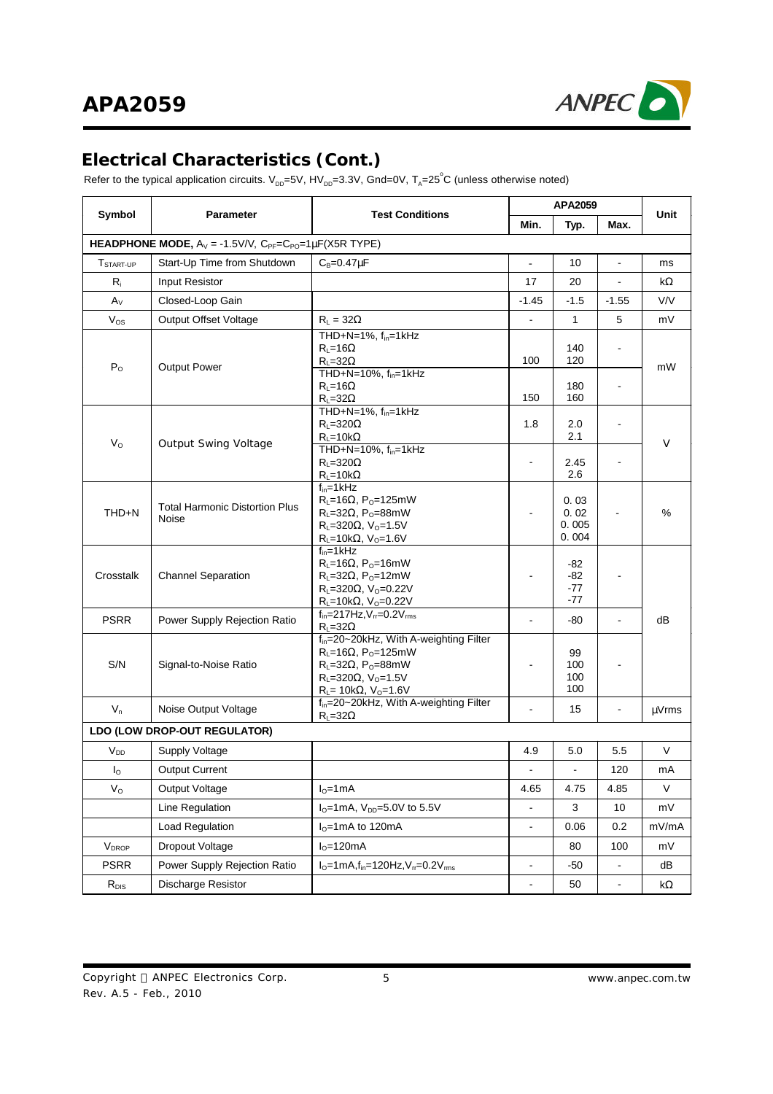

#### **Electrical Characteristics (Cont.)**

Refer to the typical application circuits. V<sub>DD</sub>=5V, HV<sub>DD</sub>=3.3V, Gnd=0V, T<sub>A</sub>=25°C (unless otherwise noted)

|                       |                                                                                                            |                                                                                                                                                                                                                                         |                          | APA2059                        |                          |            |  |
|-----------------------|------------------------------------------------------------------------------------------------------------|-----------------------------------------------------------------------------------------------------------------------------------------------------------------------------------------------------------------------------------------|--------------------------|--------------------------------|--------------------------|------------|--|
| Symbol                | <b>Parameter</b>                                                                                           | <b>Test Conditions</b>                                                                                                                                                                                                                  |                          | Typ.                           | Max.                     | Unit       |  |
|                       | <b>HEADPHONE MODE, A<sub>V</sub> = -1.5V/V, C<sub>PF</sub>=C<sub>PO</sub>=1<math>\mu</math>F(X5R TYPE)</b> |                                                                                                                                                                                                                                         |                          |                                |                          |            |  |
| T <sub>START-UP</sub> | Start-Up Time from Shutdown                                                                                | $C_B = 0.47 \mu F$                                                                                                                                                                                                                      | $\overline{\phantom{0}}$ | 10                             | $\blacksquare$           | ms         |  |
| R                     | <b>Input Resistor</b>                                                                                      |                                                                                                                                                                                                                                         | 17                       | 20                             | $\blacksquare$           | kΩ         |  |
| $A_V$                 | Closed-Loop Gain                                                                                           |                                                                                                                                                                                                                                         | $-1.45$                  | $-1.5$                         | $-1.55$                  | V/V        |  |
| $V_{OS}$              | Output Offset Voltage                                                                                      | $R_L = 32\Omega$                                                                                                                                                                                                                        | $\overline{a}$           | $\mathbf{1}$                   | 5                        | mV         |  |
| $P_{\Omega}$          | <b>Output Power</b>                                                                                        | THD+N=1%, f <sub>in</sub> =1kHz<br>$R_1 = 16\Omega$<br>$R_{L} = 32\Omega$<br>THD+N=10%, $f_{in}$ =1kHz                                                                                                                                  | 100                      | 140<br>120                     |                          | mW         |  |
|                       |                                                                                                            | $R_{L} = 16\Omega$<br>$R_{L} = 32\Omega$                                                                                                                                                                                                | 150                      | 180<br>160                     |                          |            |  |
|                       |                                                                                                            | THD+N=1%, $f_{in}$ =1kHz<br>$R_{L} = 320\Omega$<br>$R_{L} = 10k\Omega$                                                                                                                                                                  | 1.8                      | 2.0<br>2.1                     |                          | V          |  |
| $V_{\rm O}$           | <b>Output Swing Voltage</b>                                                                                | THD+N=10%, f <sub>in</sub> =1kHz<br>$R_{L} = 320\Omega$<br>$R_{L} = 10k\Omega$                                                                                                                                                          | ä,                       | 2.45<br>2.6                    |                          |            |  |
| THD+N                 | <b>Total Harmonic Distortion Plus</b><br>Noise                                                             | $f_{in} = 1$ kHz<br>$R_L = 16\Omega$ , P <sub>o</sub> =125mW<br>$R_1 = 32\Omega$ , P <sub>o</sub> =88mW<br>$R_L = 320 \Omega$ , V <sub>o</sub> =1.5V<br>$R_l$ =10k $\Omega$ , V <sub>0</sub> =1.6V                                      |                          | 0.03<br>0.02<br>0.005<br>0.004 |                          | %          |  |
| Crosstalk             | <b>Channel Separation</b>                                                                                  | $f_{\text{in}} = 1$ kHz<br>$R_L = 16\Omega$ , P <sub>o</sub> =16mW<br>$R_L = 32\Omega$ , P <sub>0</sub> =12mW<br>$R_L = 320 \Omega$ , V <sub>o</sub> =0.22V<br>$R_L = 10k\Omega$ , V <sub>0</sub> =0.22V                                |                          | -82<br>-82<br>-77<br>$-77$     |                          |            |  |
| <b>PSRR</b>           | Power Supply Rejection Ratio                                                                               | $f_{in} = 217$ Hz, $V_{rr} = 0.2 V_{rms}$<br>$R_{L} = 32\Omega$                                                                                                                                                                         | ä,                       | -80                            | $\blacksquare$           | dВ         |  |
| S/N                   | Signal-to-Noise Ratio                                                                                      | f <sub>in</sub> =20~20kHz, With A-weighting Filter<br>$R_L = 16\Omega$ , P <sub>o</sub> =125mW<br>$R_L = 32\Omega$ , P <sub>o</sub> =88mW<br>$R_L = 320 \Omega$ , V <sub>o</sub> =1.5V<br>$R_{L}$ = 10k $\Omega$ , V <sub>0</sub> =1.6V |                          | 99<br>100<br>100<br>100        |                          |            |  |
| $V_n$                 | Noise Output Voltage                                                                                       | f <sub>in</sub> =20~20kHz, With A-weighting Filter<br>$R_{L} = 32\Omega$                                                                                                                                                                |                          | 15                             | $\blacksquare$           | $\mu$ Vrms |  |
|                       | LDO (LOW DROP-OUT REGULATOR)                                                                               |                                                                                                                                                                                                                                         |                          |                                |                          |            |  |
| $V_{DD}$              | Supply Voltage                                                                                             |                                                                                                                                                                                                                                         | 4.9                      | 5.0                            | 5.5                      | V          |  |
| Ιo                    | <b>Output Current</b>                                                                                      |                                                                                                                                                                                                                                         |                          |                                | 120                      | mA         |  |
| $V_{\rm O}$           | Output Voltage                                                                                             | $I0=1mA$                                                                                                                                                                                                                                | 4.65                     | 4.75                           | 4.85                     | $\vee$     |  |
|                       | Line Regulation                                                                                            | $I_0$ =1mA, $V_{DD}$ =5.0V to 5.5V                                                                                                                                                                                                      | ÷,                       | 3                              | 10                       | mV         |  |
|                       | Load Regulation                                                                                            | $I0=1mA$ to 120mA                                                                                                                                                                                                                       | $\blacksquare$           | 0.06                           | 0.2                      | mV/mA      |  |
| $V_{DROP}$            | Dropout Voltage                                                                                            | $I0=120mA$                                                                                                                                                                                                                              |                          | 80                             | 100                      | mV         |  |
| <b>PSRR</b>           | Power Supply Rejection Ratio                                                                               | $I_0 = 1mA, f_{in} = 120 Hz, V_{rr} = 0.2 V_{rms}$                                                                                                                                                                                      | $\blacksquare$           | $-50$                          |                          | dB         |  |
| $R_{\text{DIS}}$      | Discharge Resistor                                                                                         |                                                                                                                                                                                                                                         | $\overline{\phantom{0}}$ | 50                             | $\overline{\phantom{0}}$ | k $\Omega$ |  |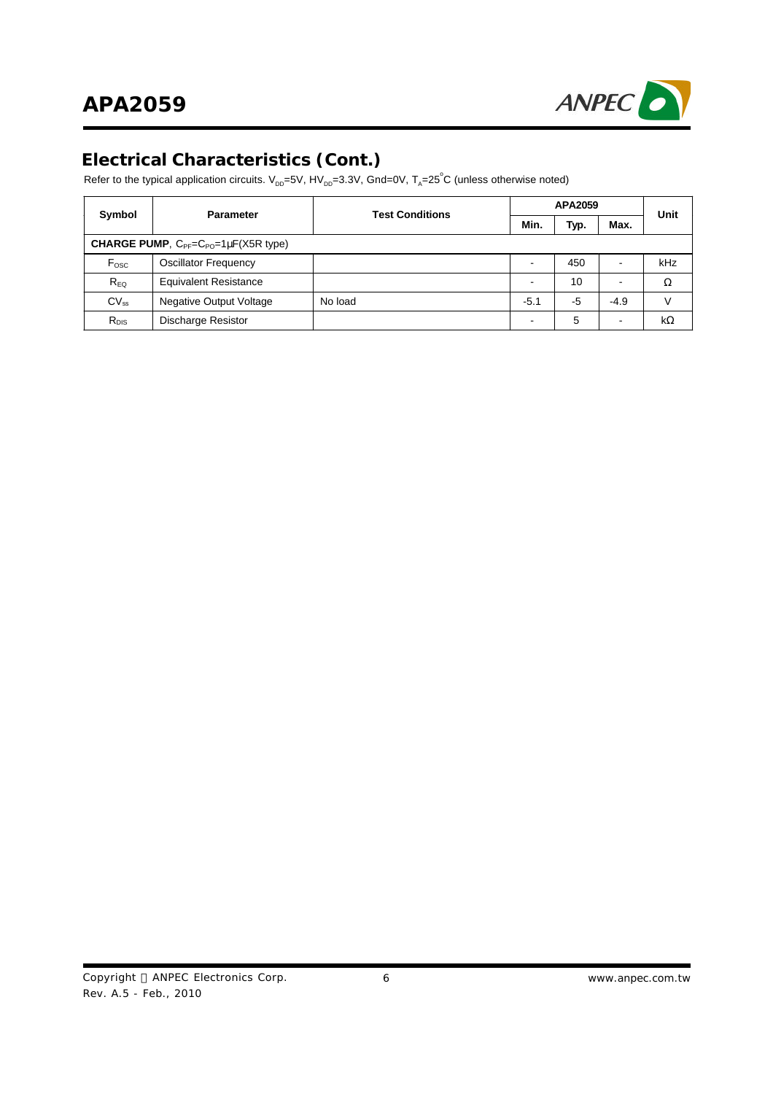

#### **Electrical Characteristics (Cont.)**

Refer to the typical application circuits. V<sub>DD</sub>=5V, HV<sub>DD</sub>=3.3V, Gnd=0V, T<sub>A</sub>=25°C (unless otherwise noted)

|                                                              | <b>Parameter</b>               | <b>Test Conditions</b> | <b>APA2059</b> |                 |        | Unit      |
|--------------------------------------------------------------|--------------------------------|------------------------|----------------|-----------------|--------|-----------|
| Symbol                                                       |                                |                        | <b>Min</b>     | Тур.            | Max.   |           |
| CHARGE PUMP, C <sub>PF</sub> =C <sub>PO</sub> =1µF(X5R type) |                                |                        |                |                 |        |           |
| F <sub>osc</sub>                                             | <b>Oscillator Frequency</b>    |                        |                | 450             |        | kHz       |
| $R_{EQ}$                                                     | <b>Equivalent Resistance</b>   |                        |                | 10 <sup>°</sup> |        | Ω         |
| $CV_{ss}$                                                    | <b>Negative Output Voltage</b> | No load                | $-5.1$         | -5              | $-4.9$ |           |
| $R_{DIS}$                                                    | Discharge Resistor             |                        |                | 5               |        | $k\Omega$ |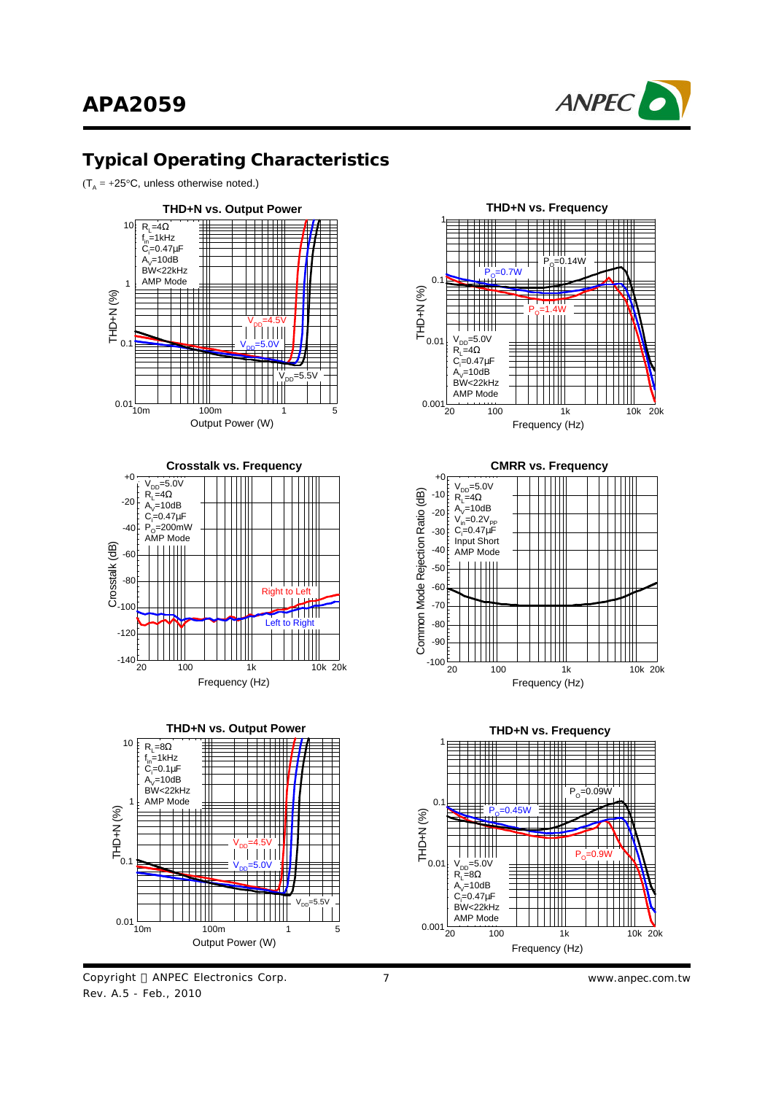

#### **Typical Operating Characteristics**

 $(T_A = +25^{\circ}C,$  unless otherwise noted.)



Copyright © ANPEC Electronics Corp. Rev. A.5 - Feb., 2010







7 *www.anpec.com.tw*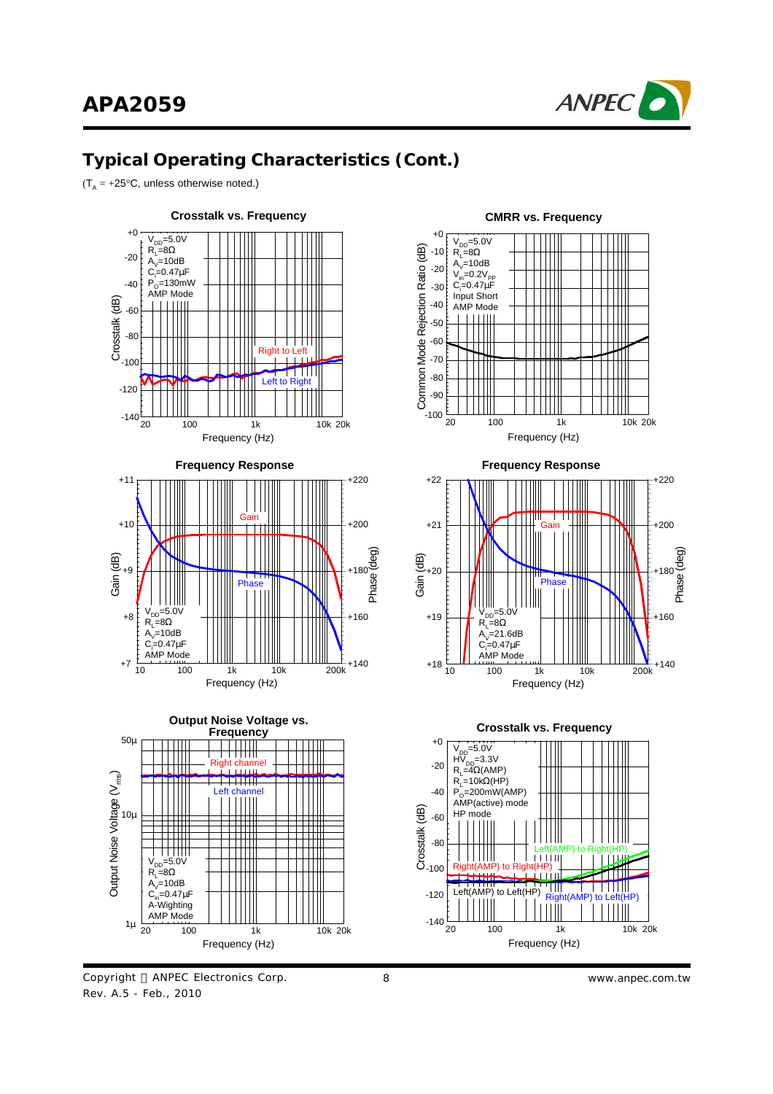

 $(T_A = +25^{\circ}C,$  unless otherwise noted.)



#### Copyright © ANPEC Electronics Corp. Rev. A.5 - Feb., 2010

Frequency (Hz)



#### **CMRR vs. Frequency**

8 *www.anpec.com.tw*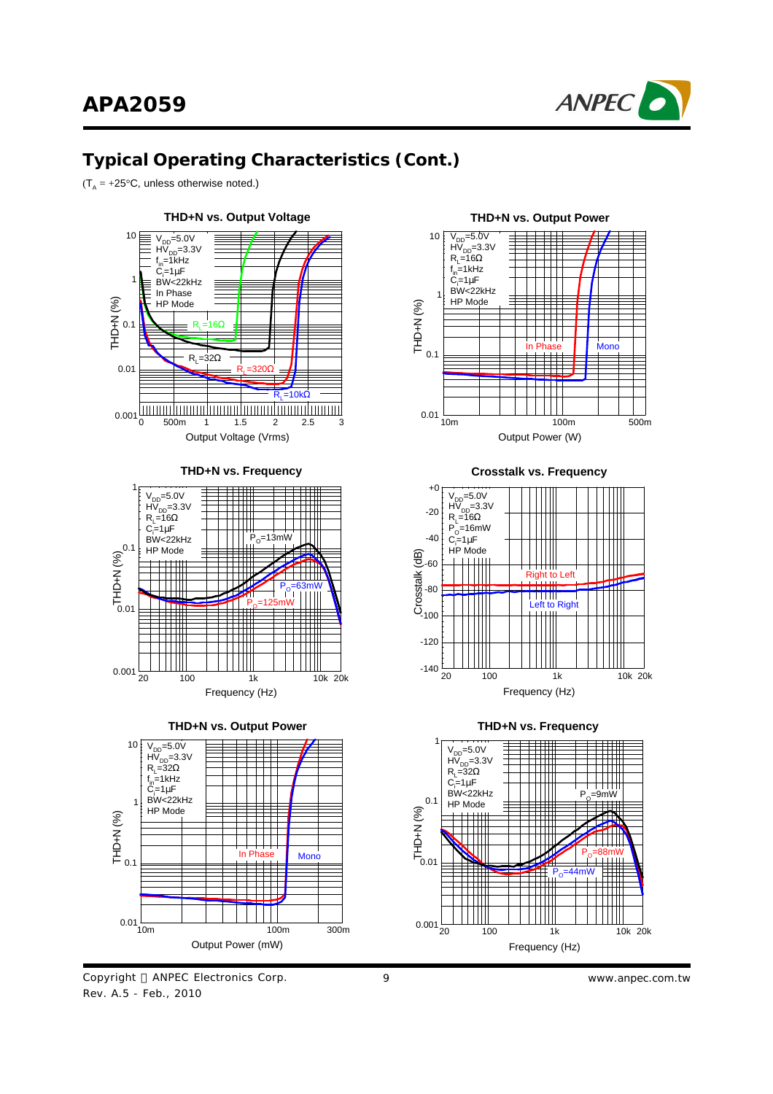

 $(T_A = +25^{\circ}C,$  unless otherwise noted.)



Copyright © ANPEC Electronics Corp. Rev. A.5 - Feb., 2010



**Crosstalk vs. Frequency**





9 *www.anpec.com.tw*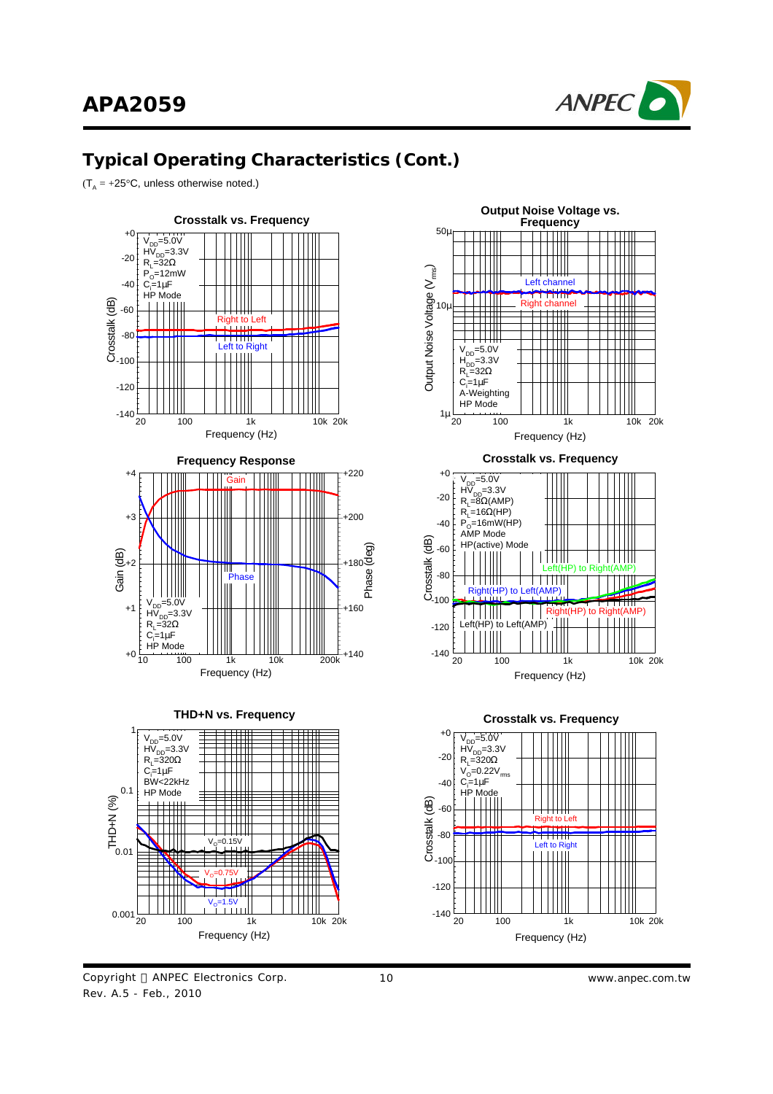

 $(T_A = +25^{\circ}C,$  unless otherwise noted.)





Frequency (Hz)





10 *www.anpec.com.tw*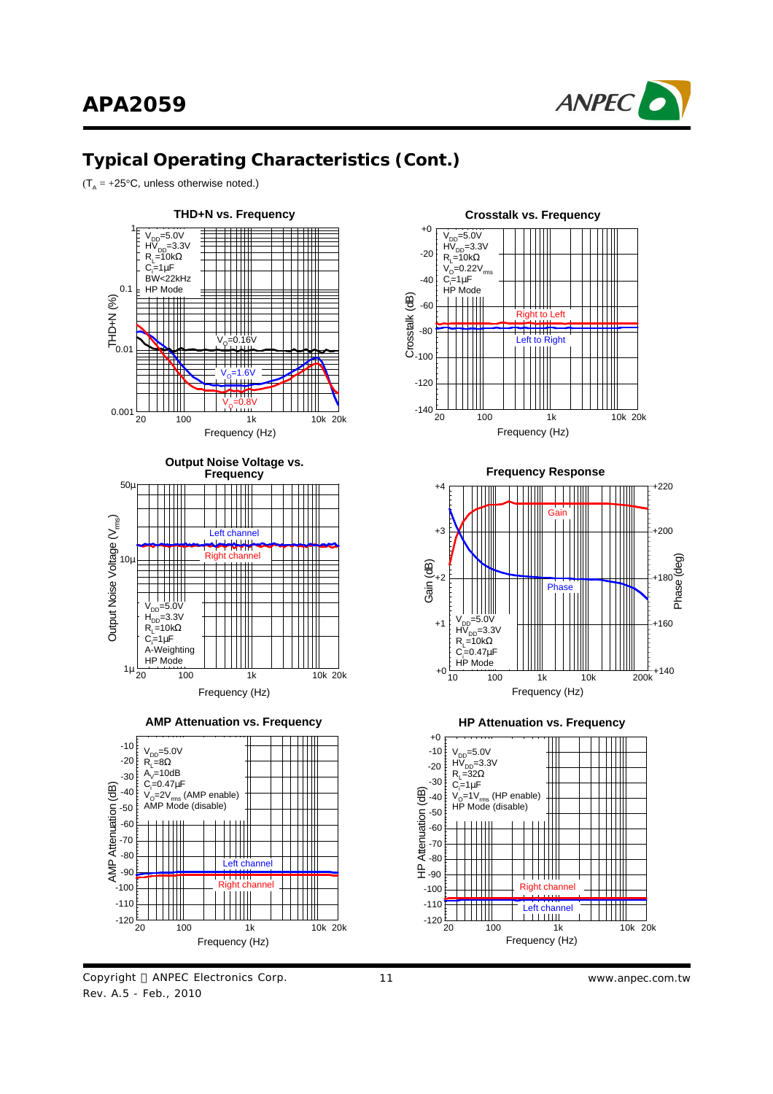

 $(T_A = +25^{\circ}C,$  unless otherwise noted.)



Copyright © ANPEC Electronics Corp. Rev. A.5 - Feb., 2010



**Frequency Response**



**HP Attenuation vs. Frequency**

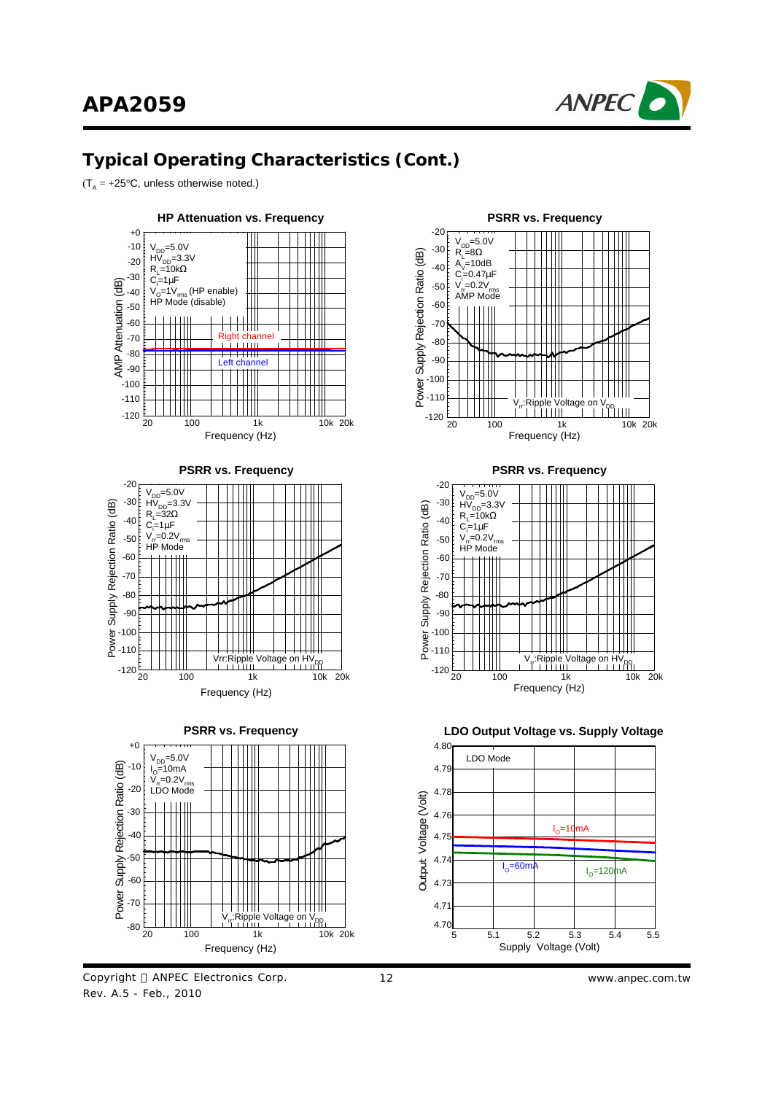

 $(T_A = +25^{\circ}C,$  unless otherwise noted.)







 $I_{\circ}$ =60mA  $I_{\circ}$ 

Supply Voltage (Volt)

5 5.1 5.2 5.3 5.4 5.5

12 *www.anpec.com.tw*

 $I<sub>0</sub>=120$ mA

4.70  $4.7$ 4.73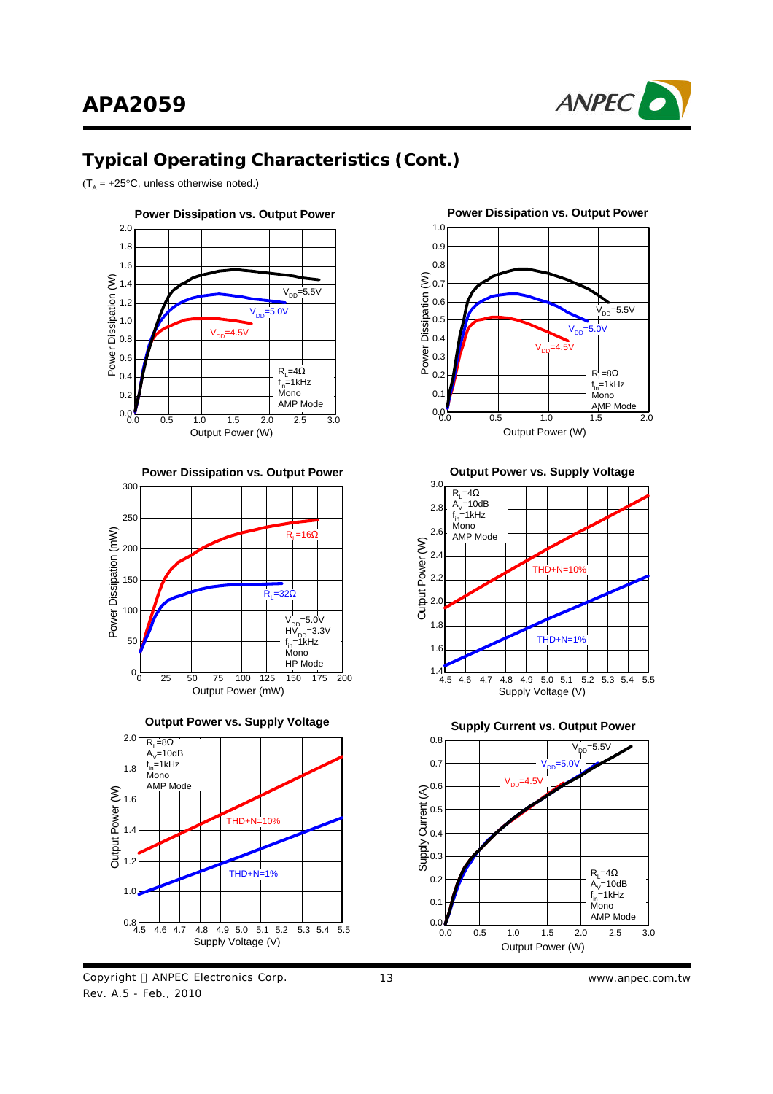

 $(T_A = +25^{\circ}C,$  unless otherwise noted.)



**Power Dissipation vs. Output Power**











**Output Power vs. Supply Voltage**



**Supply Current vs. Output Power**

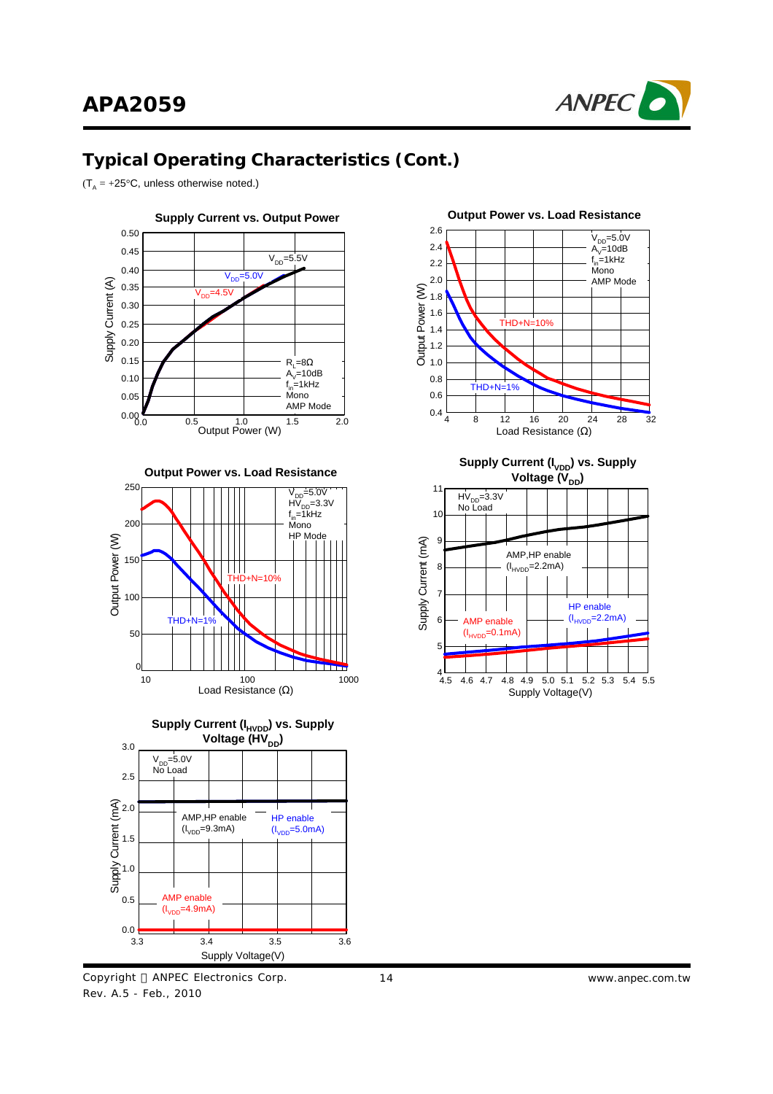

 $(T_A = +25^{\circ}C,$  unless otherwise noted.)



**Output Power vs. Load Resistance**





Copyright © ANPEC Electronics Corp. Rev. A.5 - Feb., 2010



**Supply Current (I<sub>VDD</sub>) vs. Supply Voltage (V**<sub>DD</sub>)

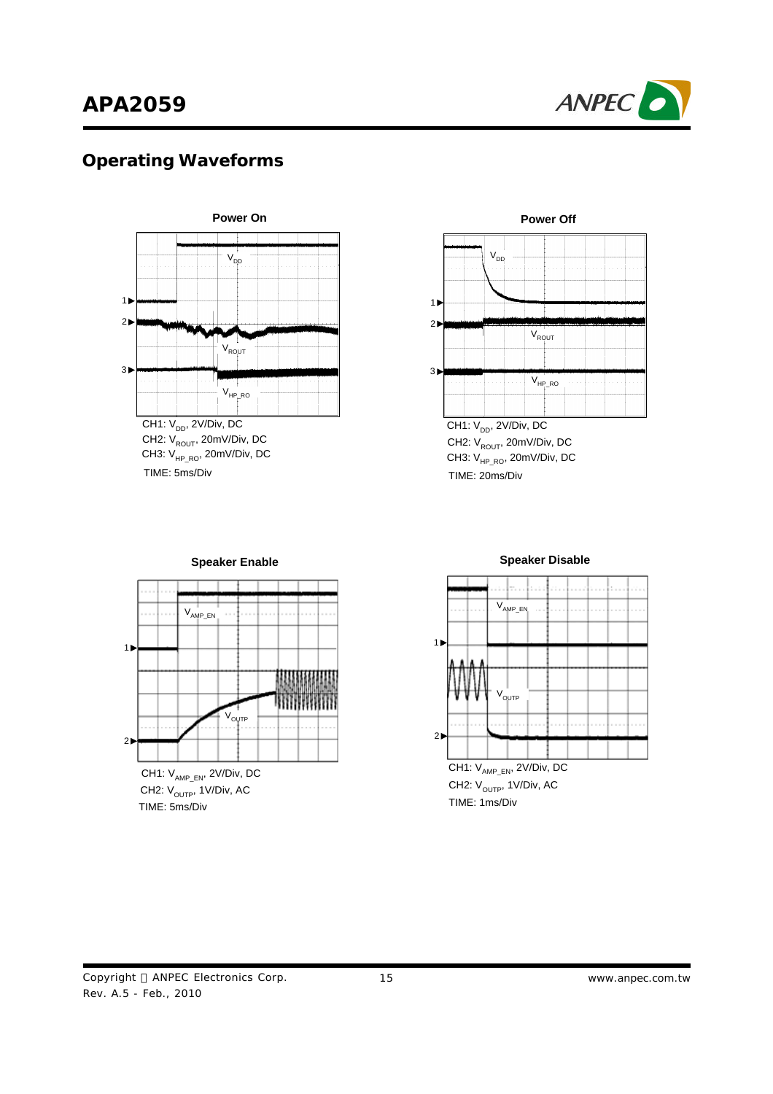# **APA2059**



### **Operating Waveforms**



CH2:  $V_{ROUT}$ , 20mV/Div, DC TIME: 5ms/Div CH3:  $V_{HP_RO}$ , 20mV/Div, DC



**Power Off**

CH2:  $V_{ROUT}$ , 20mV/Div, DC TIME: 20ms/Div CH3:  $V_{HP_RO}$ , 20mV/Div, DC



**Speaker Enable**

CH2:  $V_{\text{OUTP}}$ , 1V/Div, AC TIME: 5ms/Div



#### **Speaker Disable**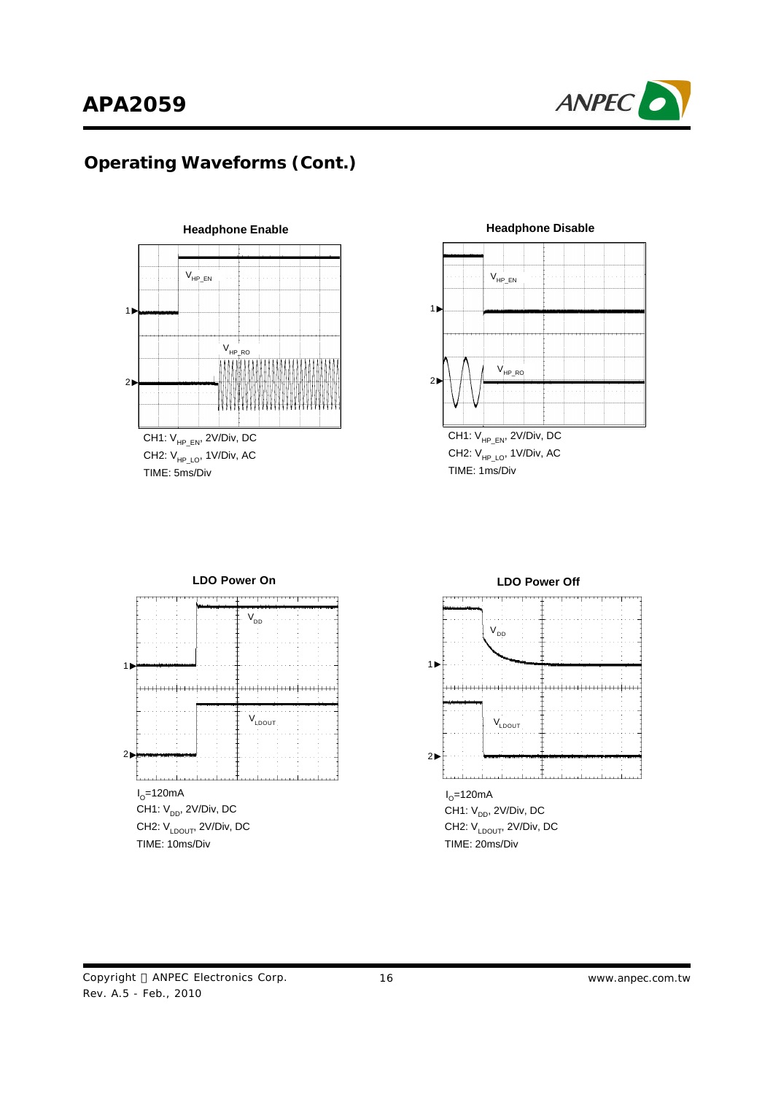

## **Operating Waveforms (Cont.)**



TIME: 5ms/Div CH2:  $V_{HP\_LO}$ , 1V/Div, AC



**Headphone Disable**

TIME: 1ms/Div CH1:  $V_{HP\_EN}$ , 2V/Div, DC CH2:  $V_{HP\ LO}$ , 1V/Div, AC



# **LDO Power Off**  $V_{DD}$ 1 <del>.............................</del>  $V_{LDOUT}$  $2\blacktriangleright$ l<sub>o</sub>=120mA CH1:  $V_{DD}$ , 2V/Div, DC CH2: V<sub>LDOUT</sub>, 2V/Div, DC

TIME: 20ms/Div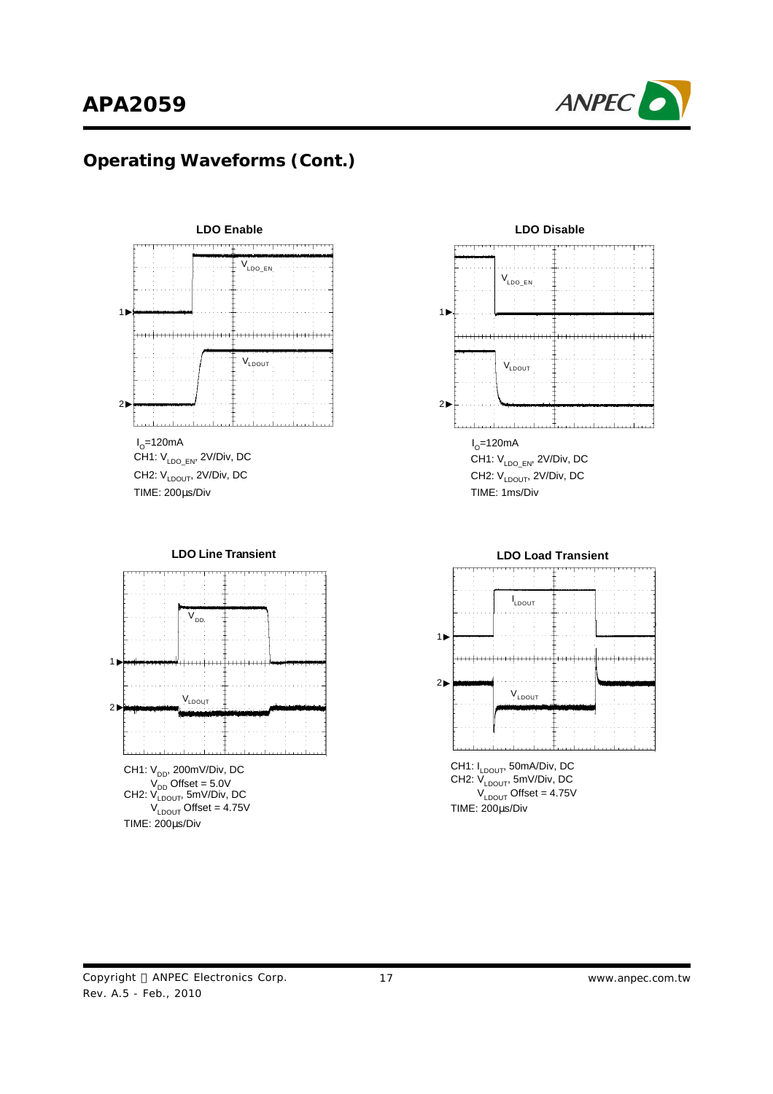

## **Operating Waveforms (Cont.)**







TIME: 1ms/Div CH1: VLDO\_EN, 2V/Div, DC CH2: V<sub>LDOUT</sub>, 2V/Div, DC

**LDO Load Transient**



Rev. A.5 - Feb., 2010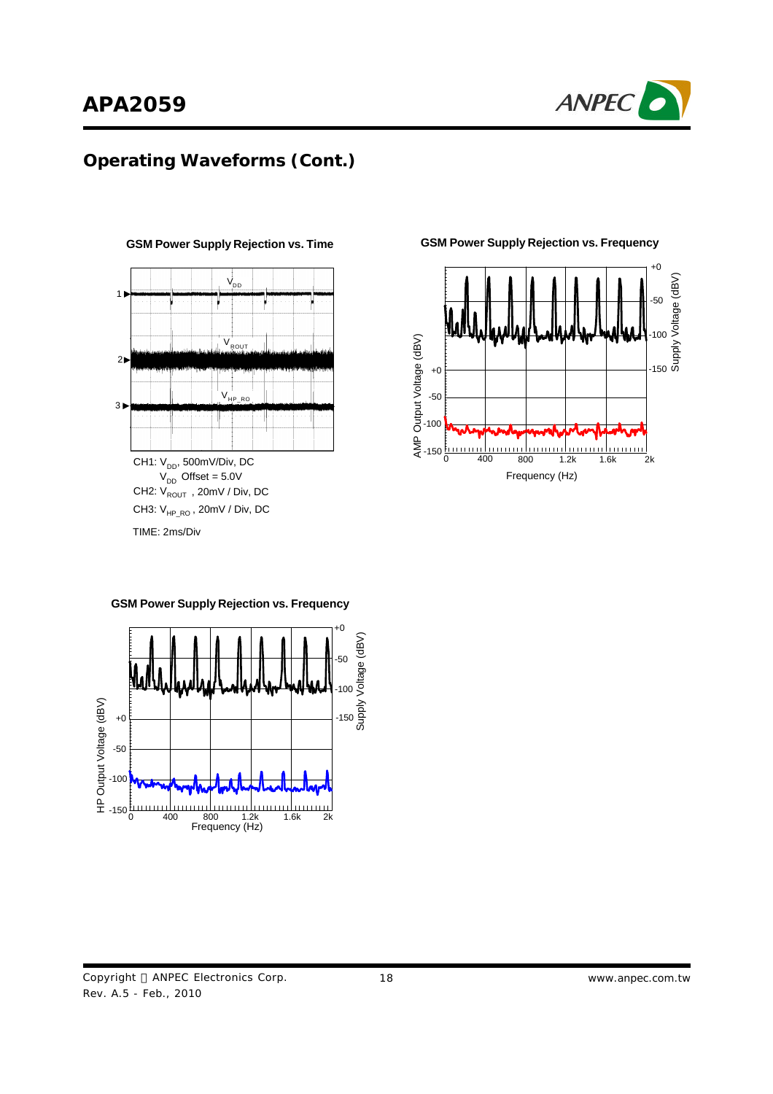

# **Operating Waveforms (Cont.)**



**GSM Power Supply Rejection vs. Time GSM Power Supply Rejection vs. Frequency**



+0 /oltage (dBV) Supply Voltage (dBV) -50 -100 HP Output Voltage (dBV)  $-150\frac{5}{9}$ HP Output Voltage (dBV) +0 -50 -100

0 400 800 1.2k 1.6k 2k Frequency (Hz)

**GSM Power Supply Rejection vs. Frequency**

 $-150\frac{E}{0}$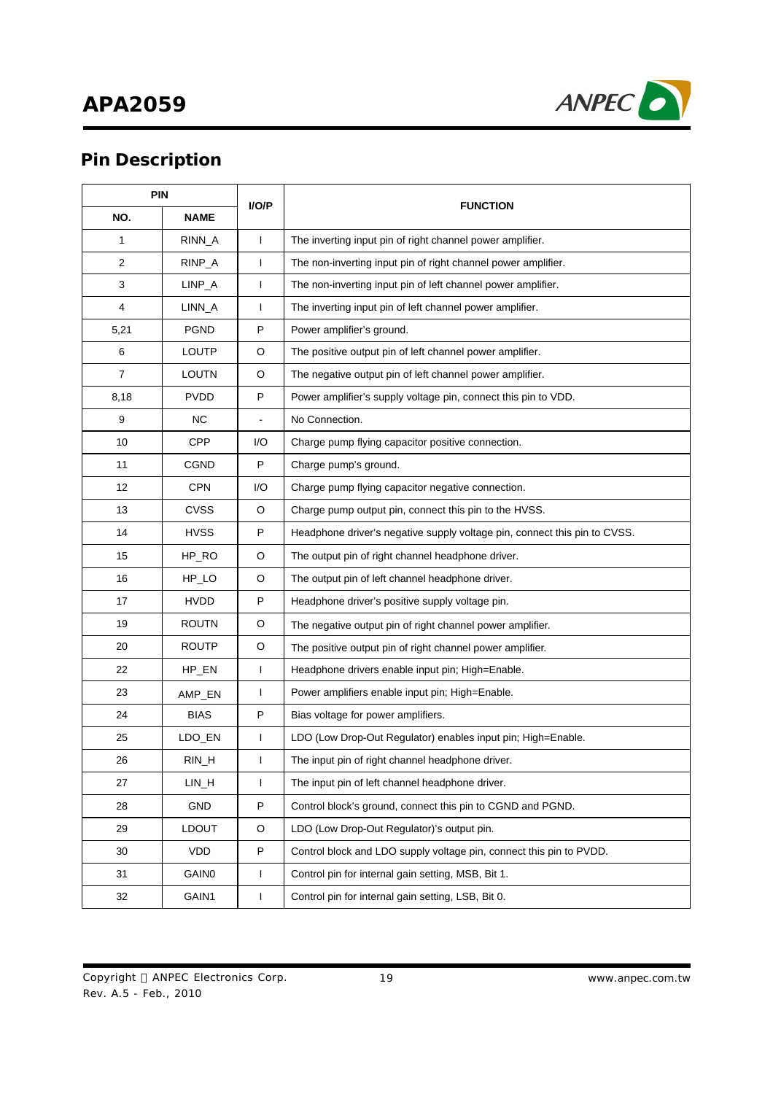# **APA2059**



# **Pin Description**

| <b>PIN</b>     |              | I/O/P        | <b>FUNCTION</b>                                                           |  |  |
|----------------|--------------|--------------|---------------------------------------------------------------------------|--|--|
| NO.            | <b>NAME</b>  |              |                                                                           |  |  |
| $\mathbf{1}$   | RINN_A       | $\mathbf{I}$ | The inverting input pin of right channel power amplifier.                 |  |  |
| $\overline{2}$ | RINP_A       | T            | The non-inverting input pin of right channel power amplifier.             |  |  |
| 3              | $LINP_A$     | T            | The non-inverting input pin of left channel power amplifier.              |  |  |
| $\overline{4}$ | LINN_A       | T            | The inverting input pin of left channel power amplifier.                  |  |  |
| 5,21           | <b>PGND</b>  | P            | Power amplifier's ground.                                                 |  |  |
| 6              | LOUTP        | O            | The positive output pin of left channel power amplifier.                  |  |  |
| $\overline{7}$ | <b>LOUTN</b> | O            | The negative output pin of left channel power amplifier.                  |  |  |
| 8,18           | <b>PVDD</b>  | P            | Power amplifier's supply voltage pin, connect this pin to VDD.            |  |  |
| 9              | <b>NC</b>    |              | No Connection.                                                            |  |  |
| 10             | CPP          | I/O          | Charge pump flying capacitor positive connection.                         |  |  |
| 11             | CGND         | P            | Charge pump's ground.                                                     |  |  |
| 12             | <b>CPN</b>   | I/O          | Charge pump flying capacitor negative connection.                         |  |  |
| 13             | <b>CVSS</b>  | O            | Charge pump output pin, connect this pin to the HVSS.                     |  |  |
| 14             | <b>HVSS</b>  | P            | Headphone driver's negative supply voltage pin, connect this pin to CVSS. |  |  |
| 15             | HP_RO        | O            | The output pin of right channel headphone driver.                         |  |  |
| 16             | $HP\_LO$     | O            | The output pin of left channel headphone driver.                          |  |  |
| 17             | <b>HVDD</b>  | P            | Headphone driver's positive supply voltage pin.                           |  |  |
| 19             | <b>ROUTN</b> | O            | The negative output pin of right channel power amplifier.                 |  |  |
| 20             | <b>ROUTP</b> | O            | The positive output pin of right channel power amplifier.                 |  |  |
| 22             | HP_EN        | L            | Headphone drivers enable input pin; High=Enable.                          |  |  |
| 23             | AMP_EN       | L            | Power amplifiers enable input pin; High=Enable.                           |  |  |
| 24             | <b>BIAS</b>  | P            | Bias voltage for power amplifiers.                                        |  |  |
| 25             | LDO_EN       | L            | LDO (Low Drop-Out Regulator) enables input pin; High=Enable.              |  |  |
| 26             | $RIN_H$      | I            | The input pin of right channel headphone driver.                          |  |  |
| 27             | LIN_H        | L            | The input pin of left channel headphone driver.                           |  |  |
| 28             | GND          | P            | Control block's ground, connect this pin to CGND and PGND.                |  |  |
| 29             | <b>LDOUT</b> | O            | LDO (Low Drop-Out Regulator)'s output pin.                                |  |  |
| 30             | VDD          | P            | Control block and LDO supply voltage pin, connect this pin to PVDD.       |  |  |
| 31             | <b>GAIN0</b> | L            | Control pin for internal gain setting, MSB, Bit 1.                        |  |  |
| 32             | GAIN1        | L            | Control pin for internal gain setting, LSB, Bit 0.                        |  |  |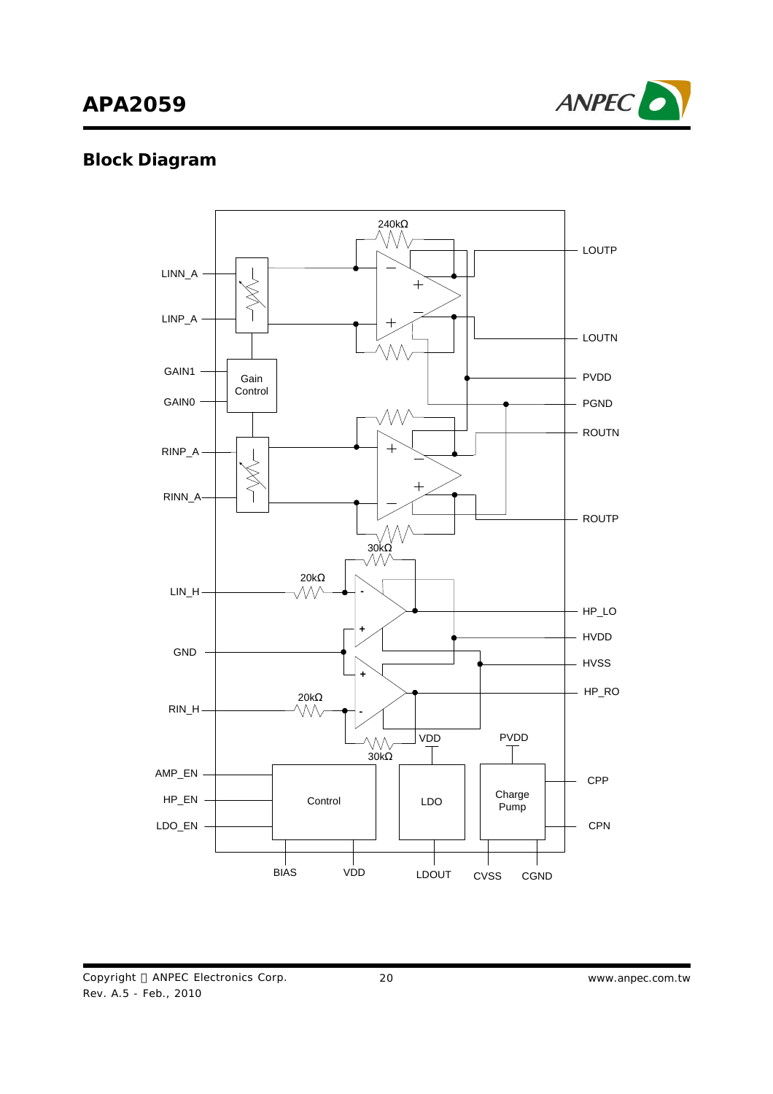# **APA2059**



### **Block Diagram**

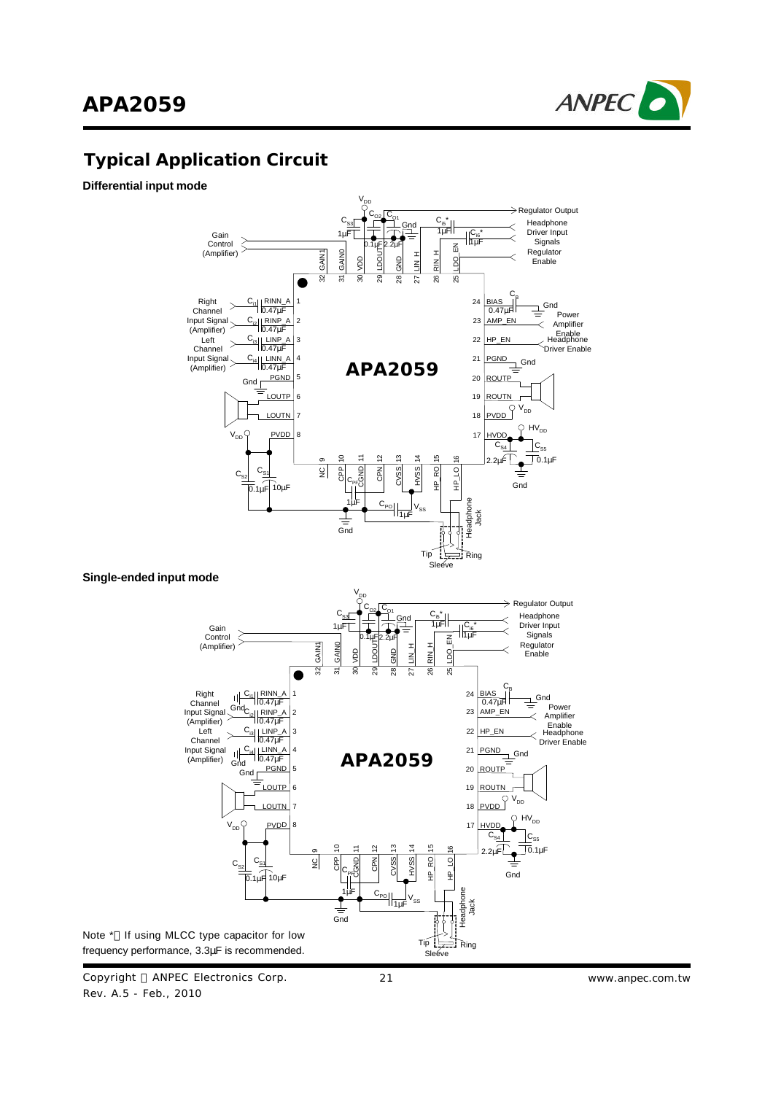



### **Typical Application Circuit**

**Differential input mode**



**Single-ended input mode**



Copyright © ANPEC Electronics Corp. Rev. A.5 - Feb., 2010

21 *www.anpec.com.tw*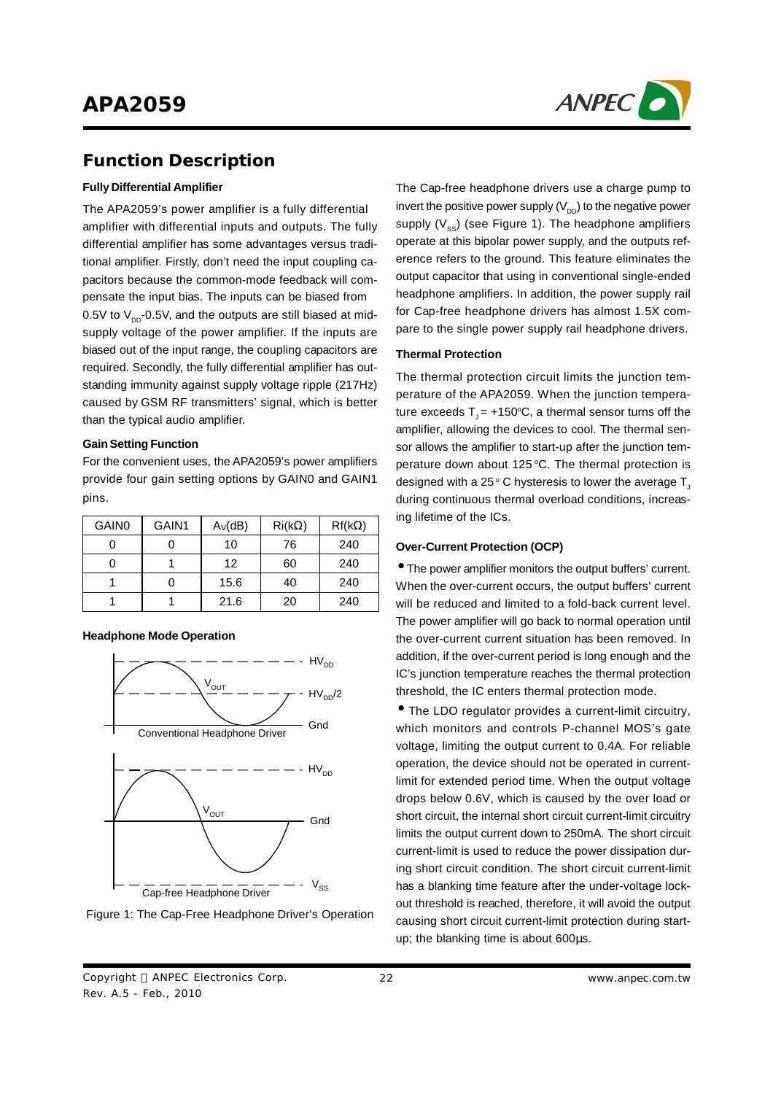

#### **Function Description**

#### **Fully Differential Amplifier**

The APA2059's power amplifier is a fully differential amplifier with differential inputs and outputs. The fully differential amplifier has some advantages versus traditional amplifier. Firstly, don't need the input coupling capacitors because the common-mode feedback will compensate the input bias. The inputs can be biased from 0.5V to  $\mathsf{V}_{\mathsf{DD}}$ -0.5V, and the outputs are still biased at midsupply voltage of the power amplifier. If the inputs are biased out of the input range, the coupling capacitors are required. Secondly, the fully differential amplifier has outstanding immunity against supply voltage ripple (217Hz) caused by GSM RF transmitters'signal, which is better than the typical audio amplifier.

#### **GainSetting Function**

For the convenient uses, the APA2059's power amplifiers provide four gain setting options by GAIN0 and GAIN1 pins.

| <b>GAIN0</b> | GAIN1 | $A_V(dB)$ | $\mathsf{Ri}(\mathsf{k}\Omega)$ | $Rf(k\Omega)$ |
|--------------|-------|-----------|---------------------------------|---------------|
|              |       | 10        | 76                              | 240           |
|              |       | 12        | 60                              | 240           |
|              |       | 15.6      | 40                              | 240           |
|              |       | 21.6      | 20                              | 240           |

**Headphone Mode Operation**





The Cap-free headphone drivers use a charge pump to invert the positive power supply (V $_{\text{DD}}$ ) to the negative power supply (V $_{\rm ss}$ ) (see Figure 1). The headphone amplifiers operate at this bipolar power supply, and the outputs reference refers to the ground. This feature eliminates the output capacitor that using in conventional single-ended headphone amplifiers. In addition, the power supply rail for Cap-free headphone drivers has almost 1.5X compare to the single power supply rail headphone drivers.

#### **Thermal Protection**

The thermal protection circuit limits the junction temperature of the APA2059. When the junction temperature exceeds T $_{\sf J}$ = +150ºC, a thermal sensor turns off the amplifier, allowing the devices to cool. The thermal sensor allows the amplifier to start-up after the junction temperature down about 125 °C. The thermal protection is designed with a 25  $^{\circ}$  C hysteresis to lower the average T $_{\textrm{\tiny{\j}}}$ during continuous thermal overload conditions, increasing lifetime of the ICs.

#### **Over-Current Protection (OCP)**

• The power amplifier monitors the output buffers'current. When the over-current occurs, the output buffers' current will be reduced and limited to a fold-back current level. The power amplifier will go back to normal operation until the over-current current situation has been removed. In addition, if the over-current period is long enough and the IC's junction temperature reaches the thermal protection threshold, the IC enters thermal protection mode.

• The LDO regulator provides <sup>a</sup> current-limit circuitry, which monitors and controls P-channel MOS's gate voltage, limiting the output current to 0.4A. For reliable operation, the device should not be operated in currentlimit for extended period time. When the output voltage drops below 0.6V, which is caused by the over load or short circuit, the internal short circuit current-limit circuitry limits the output current down to 250mA. The short circuit current-limit is used to reduce the power dissipation during short circuit condition. The short circuit current-limit has a blanking time feature after the under-voltage lockout threshold is reached, therefore, it will avoid the output causing short circuit current-limit protection during startup; the blanking time is about 600μs.

Copyright © ANPEC Electronics Corp. Rev. A.5 - Feb., 2010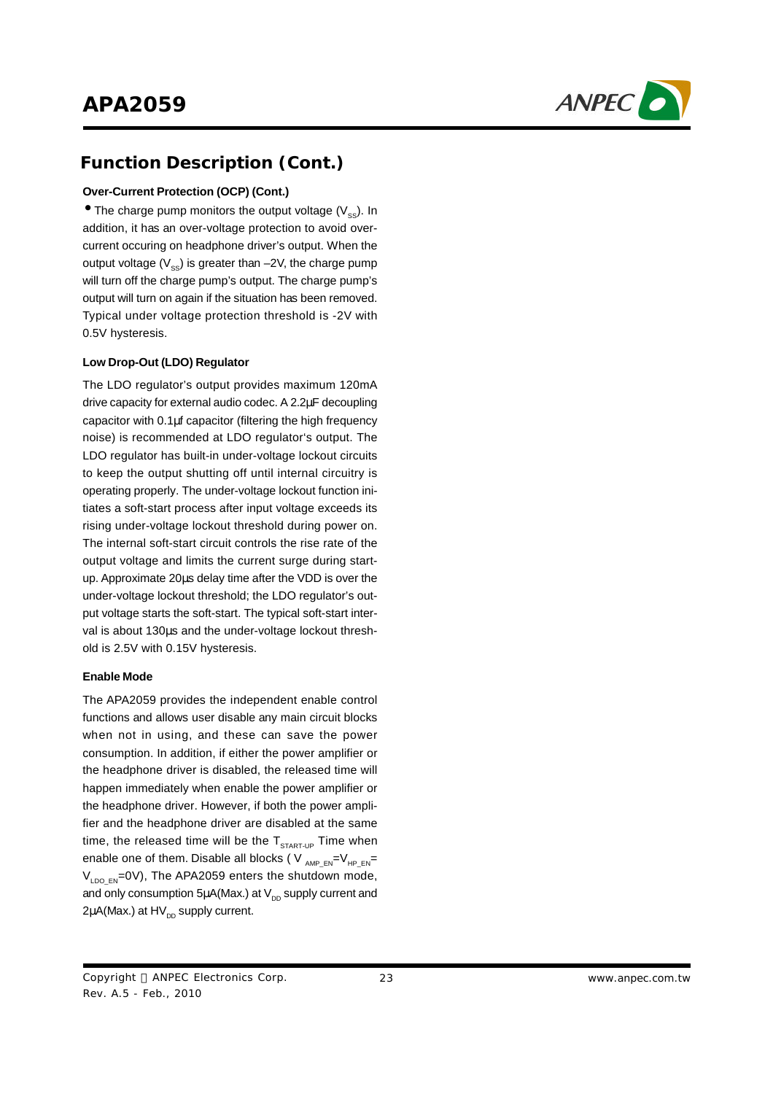

#### **Function Description (Cont.)**

#### **Over-Current Protection (OCP) (Cont.)**

 $\bullet$  The charge pump monitors the output voltage (V<sub>ss</sub>). In addition, it has an over-voltage protection to avoid overcurrent occuring on headphone driver's output. When the output voltage (V $_{\rm ss}$ ) is greater than –2V, the charge pump will turn off the charge pump's output. The charge pump's output will turn on again if the situation has been removed. Typical under voltage protection threshold is -2V with 0.5V hysteresis.

#### **Low Drop-Out (LDO) Regulator**

The LDO regulator's output provides maximum 120mA drive capacity for external audio codec. A 2.2μF decoupling capacitor with 0.1μf capacitor (filtering the high frequency noise) is recommended at LDO regulator's output. The LDO regulator has built-in under-voltage lockout circuits to keep the output shutting off until internal circuitry is operating properly. The under-voltage lockout function initiates a soft-start process after input voltage exceeds its rising under-voltage lockout threshold during power on. The internal soft-start circuit controls the rise rate of the output voltage and limits the current surge during startup. Approximate 20μs delay time after the VDD is over the under-voltage lockout threshold; the LDO regulator's output voltage starts the soft-start. The typical soft-start interval is about 130μs and the under-voltage lockout threshold is 2.5V with 0.15V hysteresis.

#### **Enable Mode**

The APA2059 provides the independent enable control functions and allows user disable any main circuit blocks when not in using, and these can save the power consumption. In addition, if either the power amplifier or the headphone driver is disabled, the released time will happen immediately when enable the power amplifier or the headphone driver. However, if both the power amplifier and the headphone driver are disabled at the same time, the released time will be the  $T_{\text{START-UP}}$  Time when enable one of them. Disable all blocks ( V <sub>AMP\_EN</sub>=V<sub>HP\_EN</sub>= V<sub>LDO\_EN</sub>=0V), The APA2059 enters the shutdown mode, and only consumption 5 $\mu$ A(Max.) at V $_{\text{\tiny{DD}}}$  supply current and 2μA(Max.) at HV<sub>DD</sub> supply current.

Copyright © ANPEC Electronics Corp. Rev. A.5 - Feb., 2010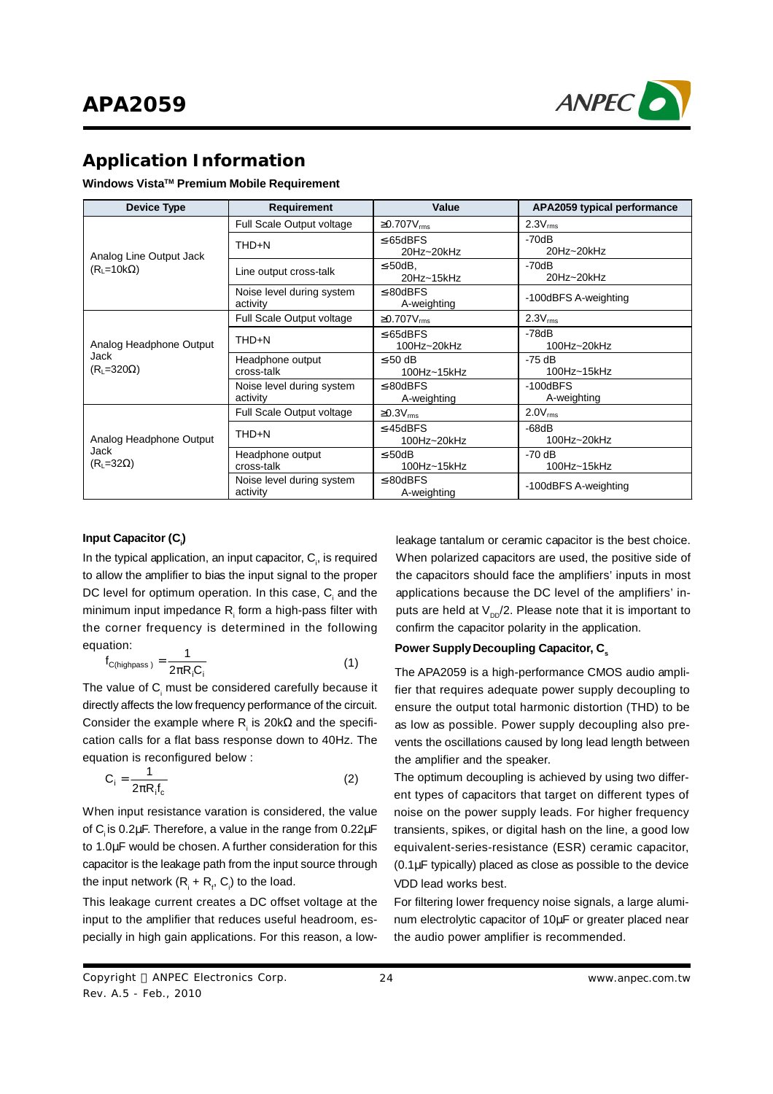

#### **Application Information**

#### **Windows Vista TM Premium Mobile Requirement**

| <b>Device Type</b>       | <b>Requirement</b>                    | Value                         | APA2059 typical performance   |
|--------------------------|---------------------------------------|-------------------------------|-------------------------------|
|                          | Full Scale Output voltage             | $\geq$ 0.707 $V_{rms}$        | $2.3V_{rms}$                  |
| Analog Line Output Jack  | THD+N                                 | $\leq$ -65dBFS<br>20Hz~20kHz  | $-70dB$<br>20Hz~20kHz         |
| $(RL=10k\Omega)$         | Line output cross-talk                | $\leq$ -50dB,<br>20Hz~15kHz   | $-70dB$<br>20Hz~20kHz         |
|                          | Noise level during system<br>activity | $\leq$ -80dBFS<br>A-weighting | -100dBFS A-weighting          |
|                          | Full Scale Output voltage             | $\geq$ 0.707 $V_{rms}$        | $2.3V_{rms}$                  |
| Analog Headphone Output  | THD+N                                 | $\leq$ 65dBFS<br>100Hz~20kHz  | $-78dB$<br>100Hz~20kHz        |
| Jack<br>$(RL=320\Omega)$ | Headphone output<br>cross-talk        | $\leq$ 50 dB<br>100Hz~15kHz   | -75 dB<br>100Hz~15kHz         |
|                          | Noise level during system<br>activity | $\leq$ -80dBFS<br>A-weighting | $-100$ d $BFS$<br>A-weighting |
|                          | Full Scale Output voltage             | $\geq$ 0.3V <sub>rms</sub>    | $2.0V_{rms}$                  |
| Analog Headphone Output  | THD+N                                 | $\leq$ 45dBFS<br>100Hz~20kHz  | $-68dB$<br>100Hz~20kHz        |
| Jack<br>$(RL=32\Omega)$  | Headphone output<br>cross-talk        | $\leq$ -50dB<br>100Hz~15kHz   | -70 dB<br>100Hz~15kHz         |
|                          | Noise level during system<br>activity | $\leq$ -80dBFS<br>A-weighting | -100dBFS A-weighting          |

#### **Input Capacitor (C<sup>i</sup> )**

In the typical application, an input capacitor,  $\mathsf{C}_{\scriptscriptstyle \sf p}$ , is required to allow the amplifier to bias the input signal to the proper DC level for optimum operation. In this case,  $\mathsf{C}_\mathsf{i}$  and the minimum input impedance  $\mathsf{R}_{_\text{i}}$  form a high-pass filter with the corner frequency is determined in the following equation:

$$
f_{\text{C(highpass)}} = \frac{1}{2\pi R_i C_i} \tag{1}
$$

The value of C<sub>i</sub> must be considered carefully because it directly affects the low frequency performance of the circuit. Consider the example where R<sub>i</sub> is 20k $\Omega$  and the specification calls for a flat bass response down to 40Hz. The equation is reconfigured below :

$$
C_i = \frac{1}{2\pi R_i f_c}
$$
 (2)

When input resistance varation is considered, the value of C<sub>i</sub> is 0.2μF. Therefore, a value in the range from 0.22μF to 1.0μF would be chosen. A further consideration for this capacitor is the leakage path from the input source through the input network  $(R_{i} + R_{i}, C_{i})$  to the load.

This leakage current creates a DC offset voltage at the input to the amplifier that reduces useful headroom, especially in high gain applications. For this reason, a lowleakage tantalum or ceramic capacitor is the best choice. When polarized capacitors are used, the positive side of the capacitors should face the amplifiers' inputs in most applications because the DC level of the amplifiers' inputs are held at  $\mathsf{V}_{\mathsf{DD}}\mathsf{/}2.$  Please note that it is important to confirm the capacitor polarity in the application.

#### **Power SupplyDecoupling Capacitor, C<sup>s</sup>**

The APA2059 is a high-performance CMOS audio amplifier that requires adequate power supply decoupling to ensure the output total harmonic distortion (THD) to be as low as possible. Power supply decoupling also prevents the oscillations caused by long lead length between the amplifier and the speaker.

The optimum decoupling is achieved by using two different types of capacitors that target on different types of noise on the power supply leads. For higher frequency transients, spikes, or digital hash on the line, a good low equivalent-series-resistance (ESR) ceramic capacitor, (0.1μF typically) placed as close as possible to the device VDD lead works best.

For filtering lower frequency noise signals, a large aluminum electrolytic capacitor of 10μF or greater placed near the audio power amplifier is recommended.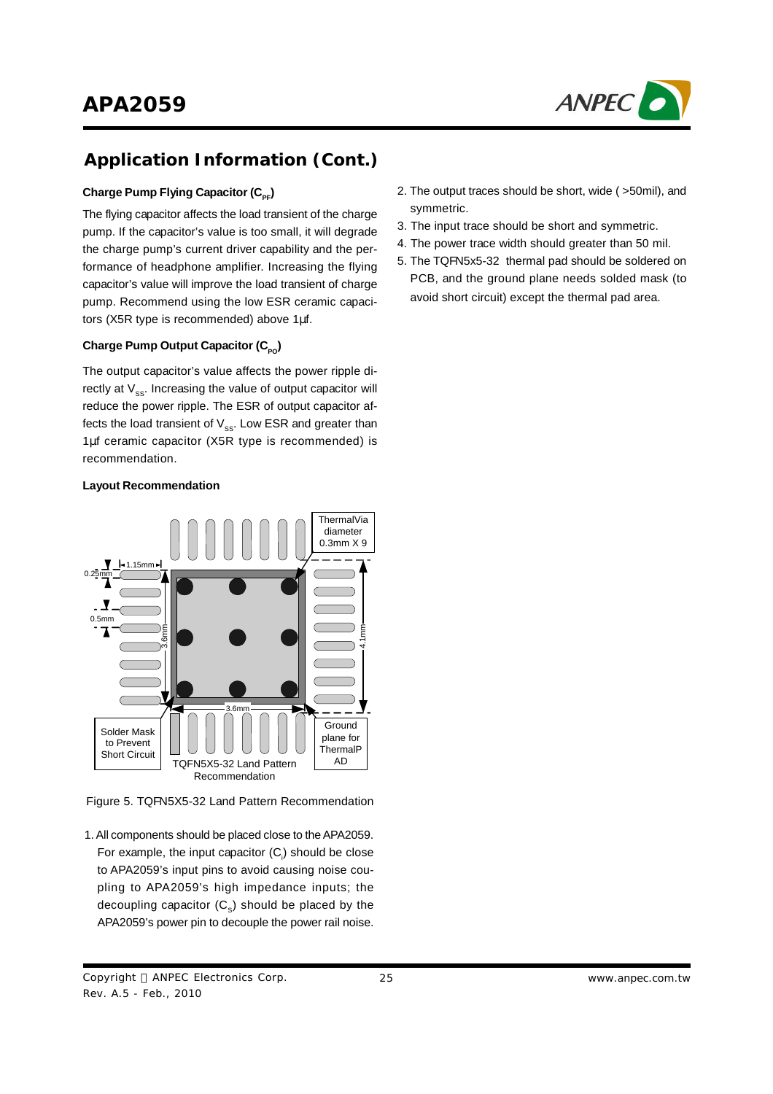

# **Application Information (Cont.)**

#### $\mathsf{Change}~\mathsf{Pump}~\mathsf{Flying}~\mathsf{Capacitor}~(\mathsf{C}_{\mathsf{PF}})$

The flying capacitor affects the load transient of the charge pump. If the capacitor's value is too small, it will degrade the charge pump's current driver capability and the performance of headphone amplifier. Increasing the flying capacitor's value will improve the load transient of charge pump. Recommend using the low ESR ceramic capacitors (X5R type is recommended) above 1μf.

#### $\mathsf{Change\ Pump\ Output\ Capacitor\ (C_{_{\mathsf{PO}}})}$

The output capacitor's value affects the power ripple directly at  $\mathsf{V}_{\mathrm{ss}}$ . Increasing the value of output capacitor will reduce the power ripple. The ESR of output capacitor affects the load transient of  $\mathsf{V}_{\mathrm{ss}}.$  Low ESR and greater than 1μf ceramic capacitor (X5R type is recommended) is recommendation.

#### **Layout Recommendation**



Figure 5. TQFN5X5-32 Land Pattern Recommendation

- 1. All components should be placed close to the APA2059. For example, the input capacitor (C<sub>i</sub>) should be close to APA2059's input pins to avoid causing noise coupling to APA2059's high impedance inputs; the decoupling capacitor (C<sub>s</sub>) should be placed by the APA2059's power pin to decouple the power rail noise.
- Copyright © ANPEC Electronics Corp. Rev. A.5 - Feb., 2010
- 2. The output traces should be short, wide ( >50mil), and symmetric.
- 3. The input trace should be short and symmetric.
- 4. The power trace width should greater than 50 mil.
- 5. The TQFN5x5-32 thermal pad should be soldered on PCB, and the ground plane needs solded mask (to avoid short circuit) except the thermal pad area.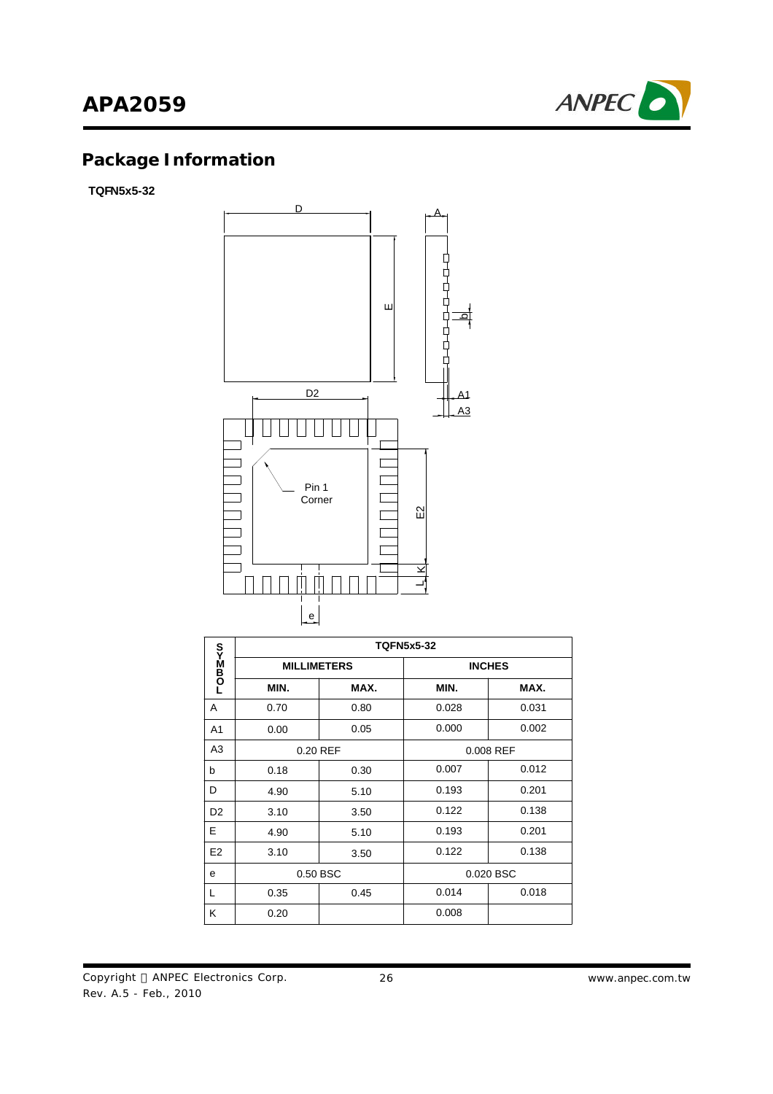# **APA2059**



# **Package Information**

**TQFN5x5-32**



|                   | <b>TQFN5x5-32</b>  |      |               |           |  |  |
|-------------------|--------------------|------|---------------|-----------|--|--|
| <b>LOmM</b><br>Do | <b>MILLIMETERS</b> |      | <b>INCHES</b> |           |  |  |
|                   | MIN.               | MAX. | MIN.          | MAX.      |  |  |
| A                 | 0.70               | 0.80 | 0.028         | 0.031     |  |  |
| A <sub>1</sub>    | 0.00               | 0.05 | 0.000         | 0.002     |  |  |
| A <sub>3</sub>    | 0.20 REF           |      | 0.008 REF     |           |  |  |
| b                 | 0.18               | 0.30 | 0.007         | 0.012     |  |  |
| D                 | 4.90               | 5.10 | 0.193         | 0.201     |  |  |
| D <sub>2</sub>    | 3.10               | 3.50 | 0.122         | 0.138     |  |  |
| E                 | 4.90               | 5.10 | 0.193         | 0.201     |  |  |
| E <sub>2</sub>    | 3.10               | 3.50 | 0.122         | 0.138     |  |  |
| e                 | 0.50 BSC           |      |               | 0.020 BSC |  |  |
| L                 | 0.35               | 0.45 | 0.014         | 0.018     |  |  |
| K                 | 0.20               |      | 0.008         |           |  |  |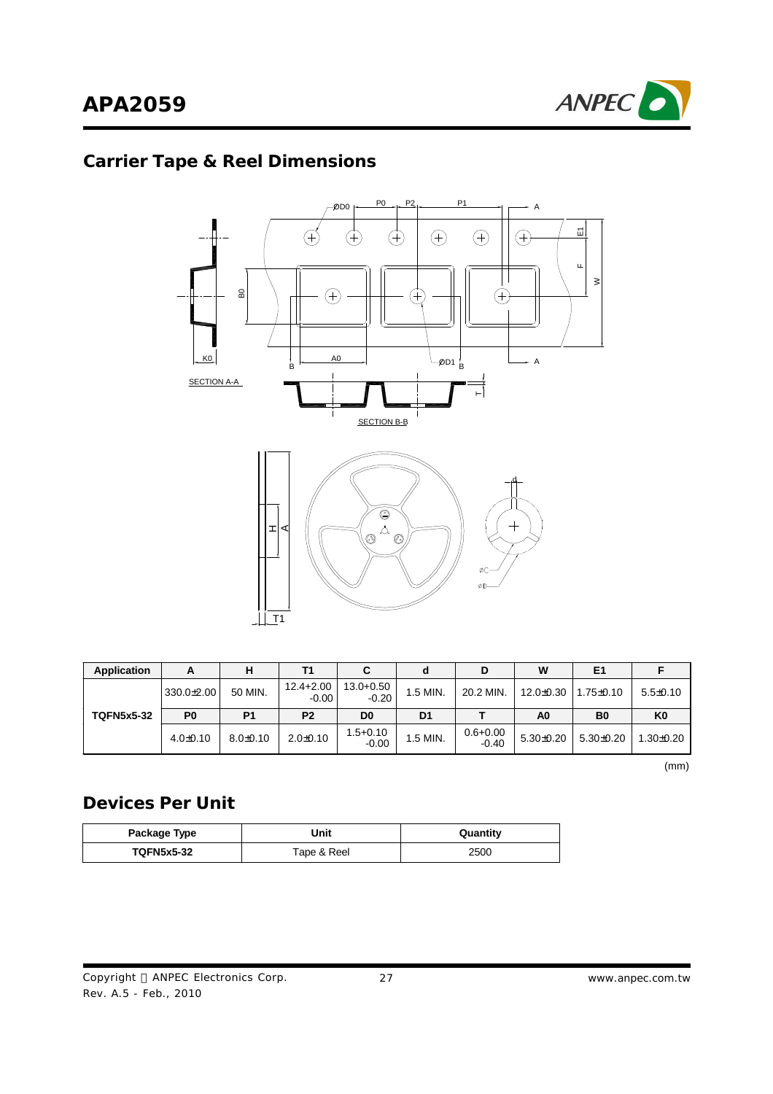

# **Carrier Tape & Reel Dimensions**



| Application       | А              | н              | Τ1                       |                          | a              | D                       | W               | E <sub>1</sub>  |                |
|-------------------|----------------|----------------|--------------------------|--------------------------|----------------|-------------------------|-----------------|-----------------|----------------|
|                   | $330.0 + 2.00$ | 50 MIN.        | $12.4 + 2.00$<br>$-0.00$ | $13.0 + 0.50$<br>$-0.20$ | 1.5 MIN.       | 20.2 MIN.               | $12.0 \pm 0.30$ | $1.75 \pm 0.10$ | $5.5 \pm 0.10$ |
| <b>TQFN5x5-32</b> | P <sub>0</sub> | P <sub>1</sub> | P <sub>2</sub>           | D <sub>0</sub>           | D <sub>1</sub> |                         | A <sub>0</sub>  | B <sub>0</sub>  | K <sub>0</sub> |
|                   | $4.0 \pm 0.10$ | $8.0+0.10$     | $2.0+0.10$               | $1.5 + 0.10$<br>$-0.00$  | 1.5 MIN.       | $0.6 + 0.00$<br>$-0.40$ | $5.30 \pm 0.20$ | $5.30+0.20$     | $1.30+0.20$    |

(mm)

### **Devices Per Unit**

| Package Type                     | Jnit | Quantity |
|----------------------------------|------|----------|
| <b>TQFN5x5-32</b><br>Tape & Reel |      | 2500     |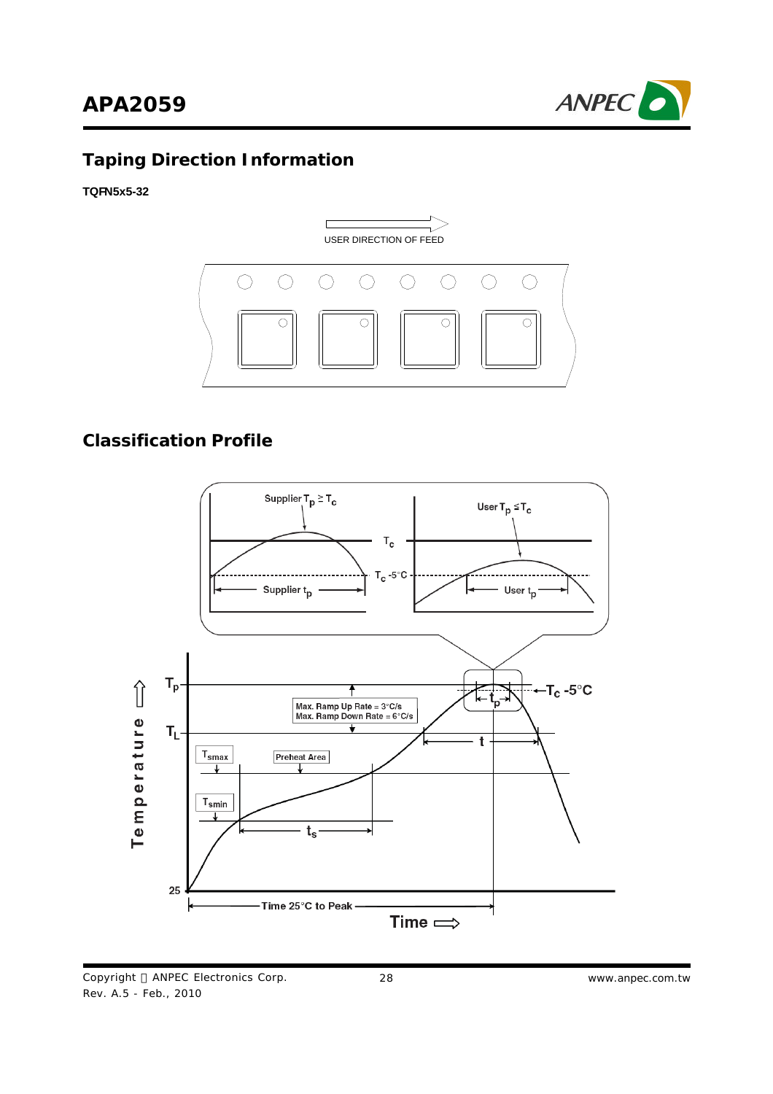



# **Taping Direction Information**

**TQFN5x5-32**



#### **Classification Profile**



Copyright © ANPEC Electronics Corp. Rev. A.5 - Feb., 2010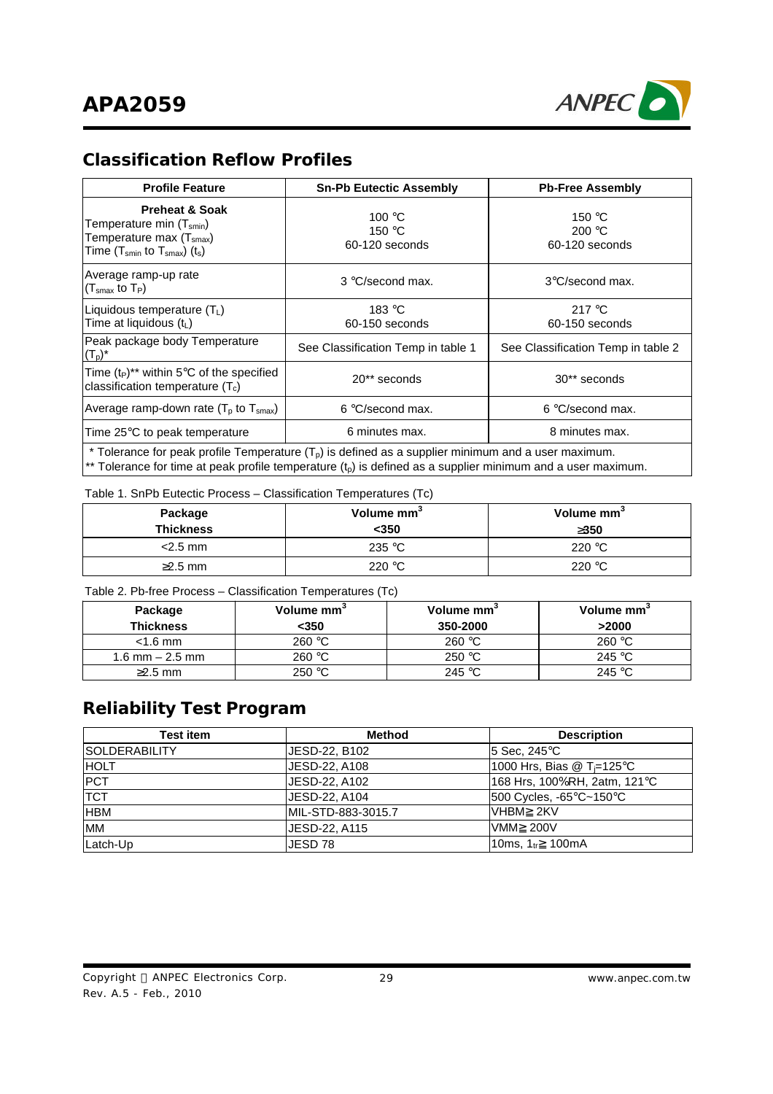

### **Classification Reflow Profiles**

| <b>Profile Feature</b>                                                                                                                                                                                                  | <b>Sn-Pb Eutectic Assembly</b>                       | <b>Pb-Free Assembly</b>                              |  |
|-------------------------------------------------------------------------------------------------------------------------------------------------------------------------------------------------------------------------|------------------------------------------------------|------------------------------------------------------|--|
| <b>Preheat &amp; Soak</b><br>Temperature min (T <sub>smin</sub> )<br>Temperature max (T <sub>smax</sub> )<br>Time $(T_{smin}$ to $T_{smax}$ ) $(t_s)$                                                                   | 100 $\degree$ C<br>150 $\degree$ C<br>60-120 seconds | 150 $\degree$ C<br>200 $\degree$ C<br>60-120 seconds |  |
| Average ramp-up rate<br>$(T_{\rm smax}$ to $T_P$ )                                                                                                                                                                      | 3 °C/second max.                                     | 3°C/second max.                                      |  |
| Liquidous temperature $(T_L)$<br>Time at liquidous (t <sub>L</sub> )                                                                                                                                                    | 183 °C<br>60-150 seconds                             | 217 $\degree$ C<br>60-150 seconds                    |  |
| Peak package body Temperature<br>$(T_p)^*$                                                                                                                                                                              | See Classification Temp in table 1                   | See Classification Temp in table 2                   |  |
| Time (t <sub>P</sub> )** within 5°C of the specified<br>classification temperature $(T_c)$                                                                                                                              | 20** seconds                                         | 30 <sup>**</sup> seconds                             |  |
| Average ramp-down rate $(T_p$ to $T_{smax}$ )                                                                                                                                                                           | 6 °C/second max.                                     | 6 °C/second max.                                     |  |
| Time 25°C to peak temperature                                                                                                                                                                                           | 6 minutes max.                                       | 8 minutes max.                                       |  |
| * Tolerance for peak profile Temperature $(T_p)$ is defined as a supplier minimum and a user maximum.<br>** Tolerance for time at peak profile temperature $(t_p)$ is defined as a supplier minimum and a user maximum. |                                                      |                                                      |  |

#### Table 1. SnPb Eutectic Process – Classification Temperatures (Tc)

| Package<br><b>Thickness</b> | Volume mm <sup>3</sup><br>$350$ | Volume mm <sup>3</sup><br>3350 |
|-----------------------------|---------------------------------|--------------------------------|
| $<$ 2.5 mm                  | 235 $\degree$ C                 | 220 $\degree$ C                |
| $\geq$ 2.5 mm               | 220 $\degree$ C                 | 220 $\degree$ C                |

Table 2. Pb-free Process – Classification Temperatures (Tc)

| Package<br><b>Thickness</b> | Volume mm <sup>3</sup><br><350 | Volume mm <sup>3</sup><br>350-2000 | Volume mm <sup>3</sup><br>>2000 |
|-----------------------------|--------------------------------|------------------------------------|---------------------------------|
| $<$ 1.6 mm                  | 260 °C                         | 260 $\degree$ C                    | 260 °C                          |
| 1.6 mm $-$ 2.5 mm           | 260 °C                         | 250 °C                             | 245 °C                          |
| $\geq$ 2.5 mm               | 250 °C                         | 245 °C                             | 245 $°C$                        |

### **Reliability Test Program**

| <b>Test item</b>      | <b>Method</b>      | <b>Description</b>                     |
|-----------------------|--------------------|----------------------------------------|
| <b>ISOLDERABILITY</b> | JESD-22, B102      | $15$ Sec, 245 $\degree$ C              |
| <b>HOLT</b>           | JESD-22, A108      | 1000 Hrs, Bias @ T <sub>i</sub> =125°C |
| <b>PCT</b>            | JESD-22, A102      | 168 Hrs, 100%RH, 2atm, 121°C           |
| <b>TCT</b>            | JESD-22, A104      | 500 Cycles, -65°C~150°C                |
| <b>HBM</b>            | MIL-STD-883-3015.7 | IVHBM 2KV                              |
| <b>IMM</b>            | JESD-22, A115      | <b>VMM 200V</b>                        |
| Latch-Up              | JESD 78            | 10ms. 1 <sub>tr</sub> 100mA            |